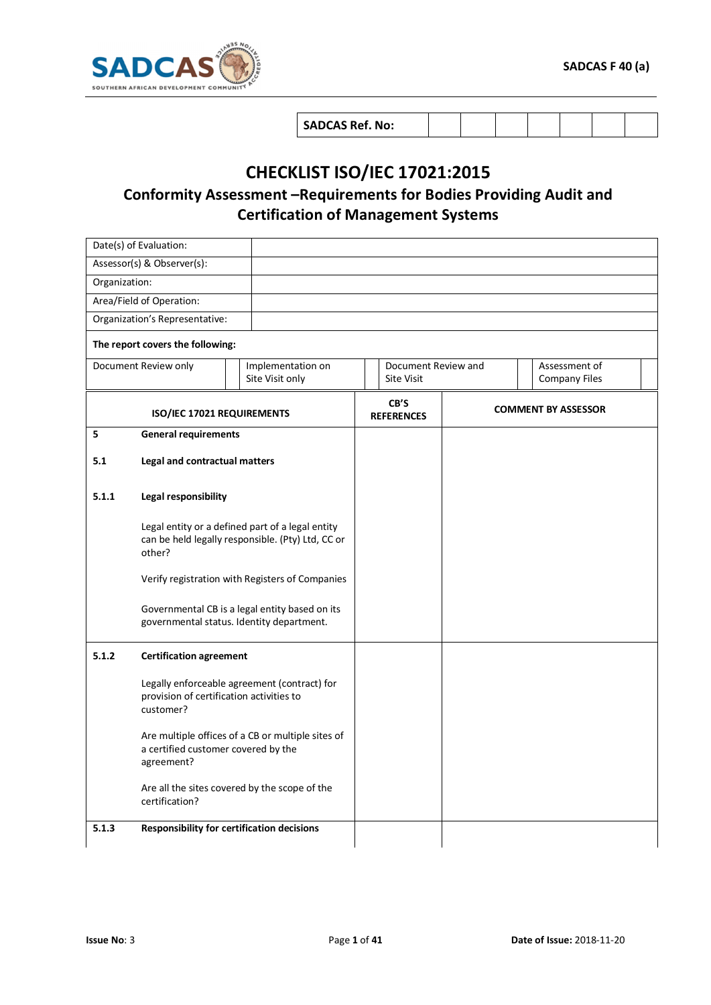

## **CHECKLIST ISO/IEC 17021:2015**

## **Conformity Assessment –Requirements for Bodies Providing Audit and Certification of Management Systems**

|               | Date(s) of Evaluation:                                |                                                                                                       |                                                                                   |                            |  |  |
|---------------|-------------------------------------------------------|-------------------------------------------------------------------------------------------------------|-----------------------------------------------------------------------------------|----------------------------|--|--|
|               | Assessor(s) & Observer(s):                            |                                                                                                       |                                                                                   |                            |  |  |
| Organization: |                                                       |                                                                                                       |                                                                                   |                            |  |  |
|               | Area/Field of Operation:                              |                                                                                                       |                                                                                   |                            |  |  |
|               | Organization's Representative:                        |                                                                                                       |                                                                                   |                            |  |  |
|               | The report covers the following:                      |                                                                                                       |                                                                                   |                            |  |  |
|               | Document Review only                                  | Implementation on<br>Site Visit only                                                                  | Document Review and<br>Assessment of<br><b>Site Visit</b><br><b>Company Files</b> |                            |  |  |
|               | ISO/IEC 17021 REQUIREMENTS                            |                                                                                                       | CB'S<br><b>REFERENCES</b>                                                         | <b>COMMENT BY ASSESSOR</b> |  |  |
| 5             | <b>General requirements</b>                           |                                                                                                       |                                                                                   |                            |  |  |
| 5.1           | Legal and contractual matters                         |                                                                                                       |                                                                                   |                            |  |  |
| 5.1.1         | Legal responsibility                                  |                                                                                                       |                                                                                   |                            |  |  |
|               | other?                                                | Legal entity or a defined part of a legal entity<br>can be held legally responsible. (Pty) Ltd, CC or |                                                                                   |                            |  |  |
|               |                                                       | Verify registration with Registers of Companies                                                       |                                                                                   |                            |  |  |
|               |                                                       | Governmental CB is a legal entity based on its<br>governmental status. Identity department.           |                                                                                   |                            |  |  |
| 5.1.2         | <b>Certification agreement</b>                        |                                                                                                       |                                                                                   |                            |  |  |
|               | provision of certification activities to<br>customer? | Legally enforceable agreement (contract) for                                                          |                                                                                   |                            |  |  |
|               | a certified customer covered by the<br>agreement?     | Are multiple offices of a CB or multiple sites of                                                     |                                                                                   |                            |  |  |
|               | certification?                                        | Are all the sites covered by the scope of the                                                         |                                                                                   |                            |  |  |
| 5.1.3         |                                                       | Responsibility for certification decisions                                                            |                                                                                   |                            |  |  |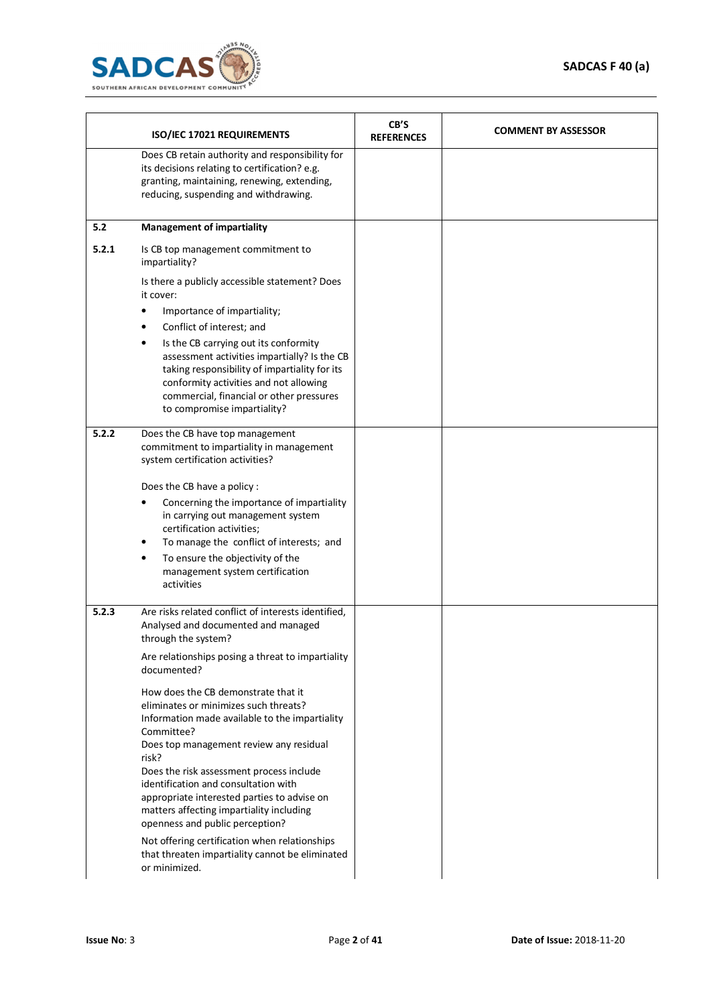

|       | ISO/IEC 17021 REQUIREMENTS                                                                                                                                                                                                                                                                    | CB'S<br><b>REFERENCES</b> | <b>COMMENT BY ASSESSOR</b> |
|-------|-----------------------------------------------------------------------------------------------------------------------------------------------------------------------------------------------------------------------------------------------------------------------------------------------|---------------------------|----------------------------|
|       | Does CB retain authority and responsibility for<br>its decisions relating to certification? e.g.<br>granting, maintaining, renewing, extending,<br>reducing, suspending and withdrawing.                                                                                                      |                           |                            |
| 5.2   | <b>Management of impartiality</b>                                                                                                                                                                                                                                                             |                           |                            |
| 5.2.1 | Is CB top management commitment to<br>impartiality?                                                                                                                                                                                                                                           |                           |                            |
|       | Is there a publicly accessible statement? Does<br>it cover:                                                                                                                                                                                                                                   |                           |                            |
|       | Importance of impartiality;                                                                                                                                                                                                                                                                   |                           |                            |
|       | Conflict of interest; and<br>Is the CB carrying out its conformity<br>٠<br>assessment activities impartially? Is the CB<br>taking responsibility of impartiality for its<br>conformity activities and not allowing<br>commercial, financial or other pressures<br>to compromise impartiality? |                           |                            |
| 5.2.2 | Does the CB have top management<br>commitment to impartiality in management<br>system certification activities?                                                                                                                                                                               |                           |                            |
|       | Does the CB have a policy:                                                                                                                                                                                                                                                                    |                           |                            |
|       | Concerning the importance of impartiality<br>in carrying out management system<br>certification activities;                                                                                                                                                                                   |                           |                            |
|       | To manage the conflict of interests; and<br>To ensure the objectivity of the<br>٠<br>management system certification<br>activities                                                                                                                                                            |                           |                            |
| 5.2.3 | Are risks related conflict of interests identified,<br>Analysed and documented and managed<br>through the system?                                                                                                                                                                             |                           |                            |
|       | Are relationships posing a threat to impartiality<br>documented?                                                                                                                                                                                                                              |                           |                            |
|       | How does the CB demonstrate that it<br>eliminates or minimizes such threats?<br>Information made available to the impartiality<br>Committee?                                                                                                                                                  |                           |                            |
|       | Does top management review any residual<br>risk?<br>Does the risk assessment process include<br>identification and consultation with<br>appropriate interested parties to advise on<br>matters affecting impartiality including                                                               |                           |                            |
|       | openness and public perception?<br>Not offering certification when relationships<br>that threaten impartiality cannot be eliminated<br>or minimized.                                                                                                                                          |                           |                            |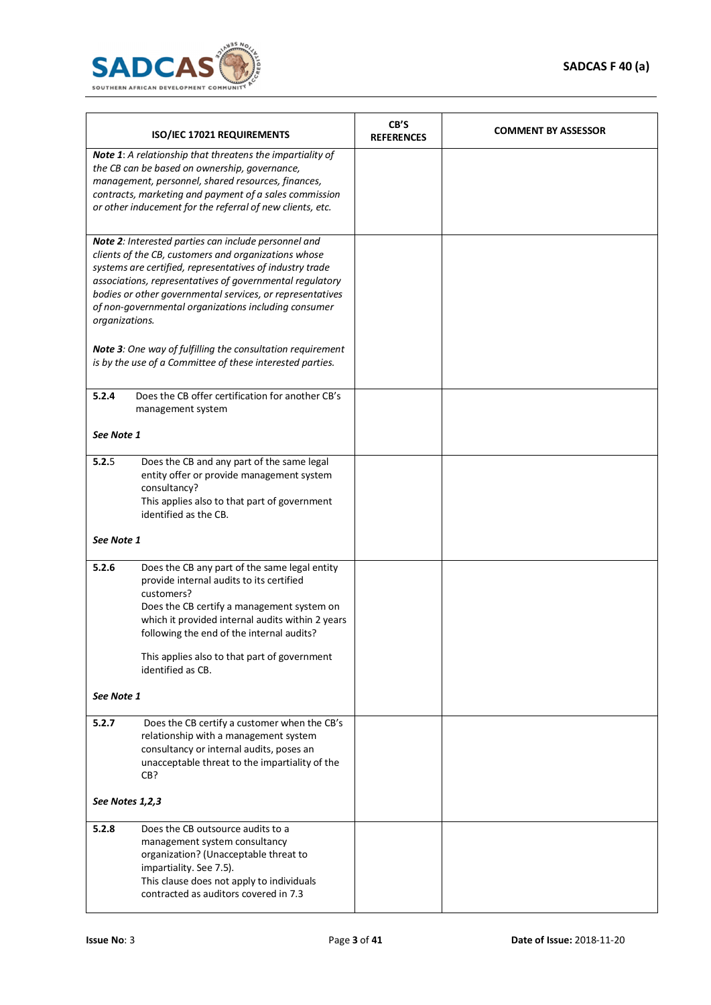

| ISO/IEC 17021 REQUIREMENTS                                                                                                                                                                                                                                                                                                                                                  |                                                                                                                                                                                                                                                                                                                             | CB'S<br><b>REFERENCES</b> | <b>COMMENT BY ASSESSOR</b> |
|-----------------------------------------------------------------------------------------------------------------------------------------------------------------------------------------------------------------------------------------------------------------------------------------------------------------------------------------------------------------------------|-----------------------------------------------------------------------------------------------------------------------------------------------------------------------------------------------------------------------------------------------------------------------------------------------------------------------------|---------------------------|----------------------------|
| Note 1: A relationship that threatens the impartiality of<br>the CB can be based on ownership, governance,<br>management, personnel, shared resources, finances,<br>contracts, marketing and payment of a sales commission<br>or other inducement for the referral of new clients, etc.                                                                                     |                                                                                                                                                                                                                                                                                                                             |                           |                            |
| Note 2: Interested parties can include personnel and<br>clients of the CB, customers and organizations whose<br>systems are certified, representatives of industry trade<br>associations, representatives of governmental regulatory<br>bodies or other governmental services, or representatives<br>of non-governmental organizations including consumer<br>organizations. |                                                                                                                                                                                                                                                                                                                             |                           |                            |
|                                                                                                                                                                                                                                                                                                                                                                             | Note 3: One way of fulfilling the consultation requirement<br>is by the use of a Committee of these interested parties.                                                                                                                                                                                                     |                           |                            |
| 5.2.4                                                                                                                                                                                                                                                                                                                                                                       | Does the CB offer certification for another CB's<br>management system                                                                                                                                                                                                                                                       |                           |                            |
| See Note 1                                                                                                                                                                                                                                                                                                                                                                  |                                                                                                                                                                                                                                                                                                                             |                           |                            |
| 5.2.5                                                                                                                                                                                                                                                                                                                                                                       | Does the CB and any part of the same legal<br>entity offer or provide management system<br>consultancy?<br>This applies also to that part of government<br>identified as the CB.                                                                                                                                            |                           |                            |
| See Note 1                                                                                                                                                                                                                                                                                                                                                                  |                                                                                                                                                                                                                                                                                                                             |                           |                            |
| 5.2.6                                                                                                                                                                                                                                                                                                                                                                       | Does the CB any part of the same legal entity<br>provide internal audits to its certified<br>customers?<br>Does the CB certify a management system on<br>which it provided internal audits within 2 years<br>following the end of the internal audits?<br>This applies also to that part of government<br>identified as CB. |                           |                            |
| See Note 1                                                                                                                                                                                                                                                                                                                                                                  |                                                                                                                                                                                                                                                                                                                             |                           |                            |
| 5.2.7                                                                                                                                                                                                                                                                                                                                                                       | Does the CB certify a customer when the CB's<br>relationship with a management system<br>consultancy or internal audits, poses an<br>unacceptable threat to the impartiality of the<br>CB?                                                                                                                                  |                           |                            |
|                                                                                                                                                                                                                                                                                                                                                                             | See Notes 1,2,3                                                                                                                                                                                                                                                                                                             |                           |                            |
| 5.2.8                                                                                                                                                                                                                                                                                                                                                                       | Does the CB outsource audits to a<br>management system consultancy<br>organization? (Unacceptable threat to<br>impartiality. See 7.5).<br>This clause does not apply to individuals<br>contracted as auditors covered in 7.3                                                                                                |                           |                            |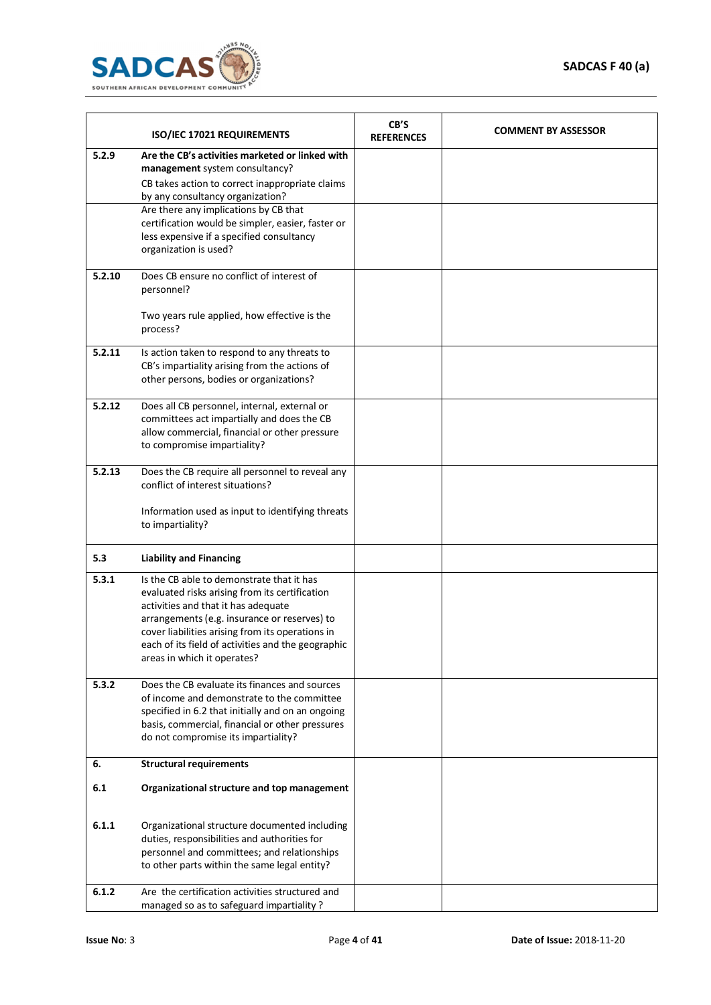

|        | ISO/IEC 17021 REQUIREMENTS                                                                                                                                                                                                                                                                                                                   | CB'S<br><b>REFERENCES</b> | <b>COMMENT BY ASSESSOR</b> |
|--------|----------------------------------------------------------------------------------------------------------------------------------------------------------------------------------------------------------------------------------------------------------------------------------------------------------------------------------------------|---------------------------|----------------------------|
| 5.2.9  | Are the CB's activities marketed or linked with<br>management system consultancy?<br>CB takes action to correct inappropriate claims<br>by any consultancy organization?<br>Are there any implications by CB that<br>certification would be simpler, easier, faster or<br>less expensive if a specified consultancy<br>organization is used? |                           |                            |
| 5.2.10 | Does CB ensure no conflict of interest of<br>personnel?<br>Two years rule applied, how effective is the<br>process?                                                                                                                                                                                                                          |                           |                            |
| 5.2.11 | Is action taken to respond to any threats to<br>CB's impartiality arising from the actions of<br>other persons, bodies or organizations?                                                                                                                                                                                                     |                           |                            |
| 5.2.12 | Does all CB personnel, internal, external or<br>committees act impartially and does the CB<br>allow commercial, financial or other pressure<br>to compromise impartiality?                                                                                                                                                                   |                           |                            |
| 5.2.13 | Does the CB require all personnel to reveal any<br>conflict of interest situations?<br>Information used as input to identifying threats<br>to impartiality?                                                                                                                                                                                  |                           |                            |
| 5.3    | <b>Liability and Financing</b>                                                                                                                                                                                                                                                                                                               |                           |                            |
| 5.3.1  | Is the CB able to demonstrate that it has<br>evaluated risks arising from its certification<br>activities and that it has adequate<br>arrangements (e.g. insurance or reserves) to<br>cover liabilities arising from its operations in<br>each of its field of activities and the geographic<br>areas in which it operates?                  |                           |                            |
| 5.3.2  | Does the CB evaluate its finances and sources<br>of income and demonstrate to the committee<br>specified in 6.2 that initially and on an ongoing<br>basis, commercial, financial or other pressures<br>do not compromise its impartiality?                                                                                                   |                           |                            |
| 6.     | <b>Structural requirements</b>                                                                                                                                                                                                                                                                                                               |                           |                            |
| 6.1    | Organizational structure and top management                                                                                                                                                                                                                                                                                                  |                           |                            |
| 6.1.1  | Organizational structure documented including<br>duties, responsibilities and authorities for<br>personnel and committees; and relationships<br>to other parts within the same legal entity?                                                                                                                                                 |                           |                            |
| 6.1.2  | Are the certification activities structured and<br>managed so as to safeguard impartiality?                                                                                                                                                                                                                                                  |                           |                            |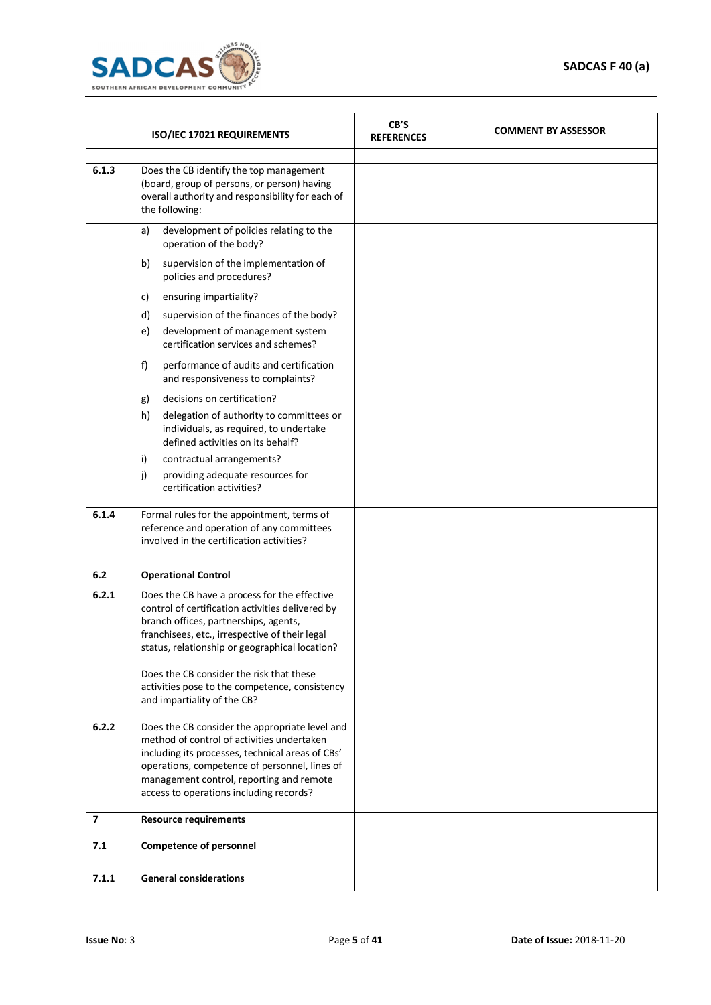

| ISO/IEC 17021 REQUIREMENTS |                                                                                                                                                                                                                                                                                                                                                                            | CB'S<br><b>REFERENCES</b> | <b>COMMENT BY ASSESSOR</b> |
|----------------------------|----------------------------------------------------------------------------------------------------------------------------------------------------------------------------------------------------------------------------------------------------------------------------------------------------------------------------------------------------------------------------|---------------------------|----------------------------|
| 6.1.3                      | Does the CB identify the top management<br>(board, group of persons, or person) having<br>overall authority and responsibility for each of<br>the following:                                                                                                                                                                                                               |                           |                            |
|                            | development of policies relating to the<br>a)<br>operation of the body?                                                                                                                                                                                                                                                                                                    |                           |                            |
|                            | supervision of the implementation of<br>b)<br>policies and procedures?                                                                                                                                                                                                                                                                                                     |                           |                            |
|                            | ensuring impartiality?<br>c)                                                                                                                                                                                                                                                                                                                                               |                           |                            |
|                            | d)<br>supervision of the finances of the body?                                                                                                                                                                                                                                                                                                                             |                           |                            |
|                            | development of management system<br>e)<br>certification services and schemes?                                                                                                                                                                                                                                                                                              |                           |                            |
|                            | performance of audits and certification<br>f)<br>and responsiveness to complaints?                                                                                                                                                                                                                                                                                         |                           |                            |
|                            | decisions on certification?<br>g)                                                                                                                                                                                                                                                                                                                                          |                           |                            |
|                            | h)<br>delegation of authority to committees or<br>individuals, as required, to undertake<br>defined activities on its behalf?                                                                                                                                                                                                                                              |                           |                            |
|                            | contractual arrangements?<br>i)                                                                                                                                                                                                                                                                                                                                            |                           |                            |
|                            | providing adequate resources for<br>j)<br>certification activities?                                                                                                                                                                                                                                                                                                        |                           |                            |
| 6.1.4                      | Formal rules for the appointment, terms of<br>reference and operation of any committees<br>involved in the certification activities?                                                                                                                                                                                                                                       |                           |                            |
| 6.2                        | <b>Operational Control</b>                                                                                                                                                                                                                                                                                                                                                 |                           |                            |
| 6.2.1                      | Does the CB have a process for the effective<br>control of certification activities delivered by<br>branch offices, partnerships, agents,<br>franchisees, etc., irrespective of their legal<br>status, relationship or geographical location?<br>Does the CB consider the risk that these<br>activities pose to the competence, consistency<br>and impartiality of the CB? |                           |                            |
|                            |                                                                                                                                                                                                                                                                                                                                                                            |                           |                            |
| 6.2.2                      | Does the CB consider the appropriate level and<br>method of control of activities undertaken<br>including its processes, technical areas of CBs'<br>operations, competence of personnel, lines of<br>management control, reporting and remote<br>access to operations including records?                                                                                   |                           |                            |
| $\overline{\mathbf{z}}$    | <b>Resource requirements</b>                                                                                                                                                                                                                                                                                                                                               |                           |                            |
| 7.1                        | <b>Competence of personnel</b>                                                                                                                                                                                                                                                                                                                                             |                           |                            |
| 7.1.1                      | <b>General considerations</b>                                                                                                                                                                                                                                                                                                                                              |                           |                            |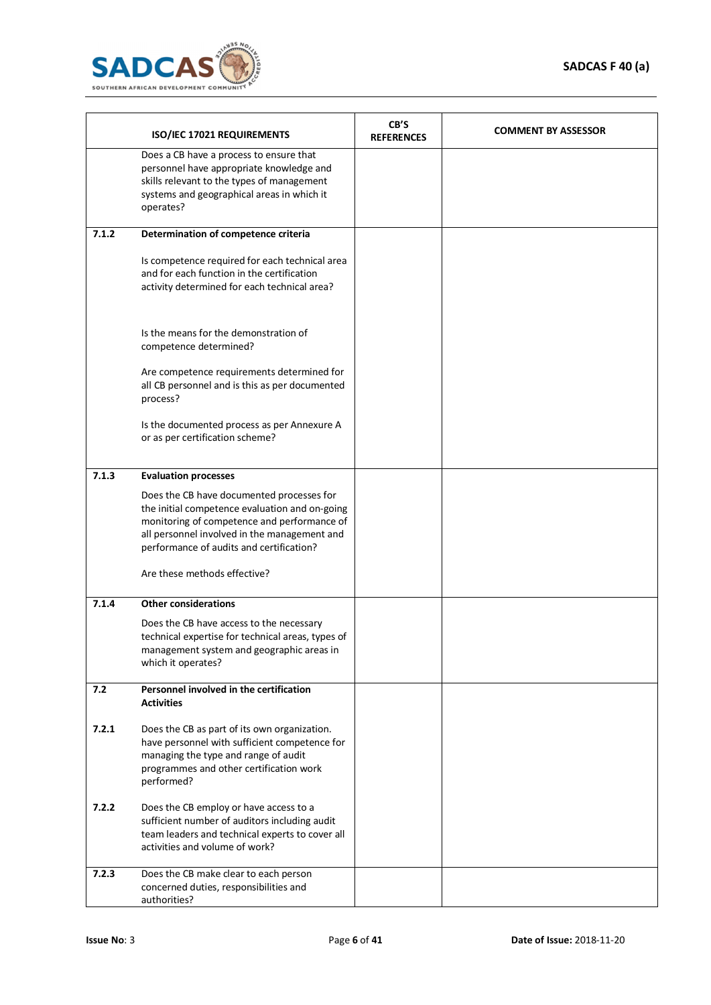

|       | ISO/IEC 17021 REQUIREMENTS                                                                                                                                                                                                                                             | CB'S<br><b>REFERENCES</b> | <b>COMMENT BY ASSESSOR</b> |
|-------|------------------------------------------------------------------------------------------------------------------------------------------------------------------------------------------------------------------------------------------------------------------------|---------------------------|----------------------------|
|       | Does a CB have a process to ensure that<br>personnel have appropriate knowledge and<br>skills relevant to the types of management<br>systems and geographical areas in which it<br>operates?                                                                           |                           |                            |
| 7.1.2 | Determination of competence criteria                                                                                                                                                                                                                                   |                           |                            |
|       | Is competence required for each technical area<br>and for each function in the certification<br>activity determined for each technical area?                                                                                                                           |                           |                            |
|       | Is the means for the demonstration of<br>competence determined?                                                                                                                                                                                                        |                           |                            |
|       | Are competence requirements determined for<br>all CB personnel and is this as per documented<br>process?                                                                                                                                                               |                           |                            |
|       | Is the documented process as per Annexure A<br>or as per certification scheme?                                                                                                                                                                                         |                           |                            |
| 7.1.3 | <b>Evaluation processes</b>                                                                                                                                                                                                                                            |                           |                            |
|       | Does the CB have documented processes for<br>the initial competence evaluation and on-going<br>monitoring of competence and performance of<br>all personnel involved in the management and<br>performance of audits and certification?<br>Are these methods effective? |                           |                            |
| 7.1.4 | <b>Other considerations</b>                                                                                                                                                                                                                                            |                           |                            |
|       | Does the CB have access to the necessary<br>technical expertise for technical areas, types of<br>management system and geographic areas in<br>which it operates?                                                                                                       |                           |                            |
| 7.2   | Personnel involved in the certification<br><b>Activities</b>                                                                                                                                                                                                           |                           |                            |
| 7.2.1 | Does the CB as part of its own organization.<br>have personnel with sufficient competence for<br>managing the type and range of audit<br>programmes and other certification work<br>performed?                                                                         |                           |                            |
| 7.2.2 | Does the CB employ or have access to a<br>sufficient number of auditors including audit<br>team leaders and technical experts to cover all<br>activities and volume of work?                                                                                           |                           |                            |
| 7.2.3 | Does the CB make clear to each person<br>concerned duties, responsibilities and<br>authorities?                                                                                                                                                                        |                           |                            |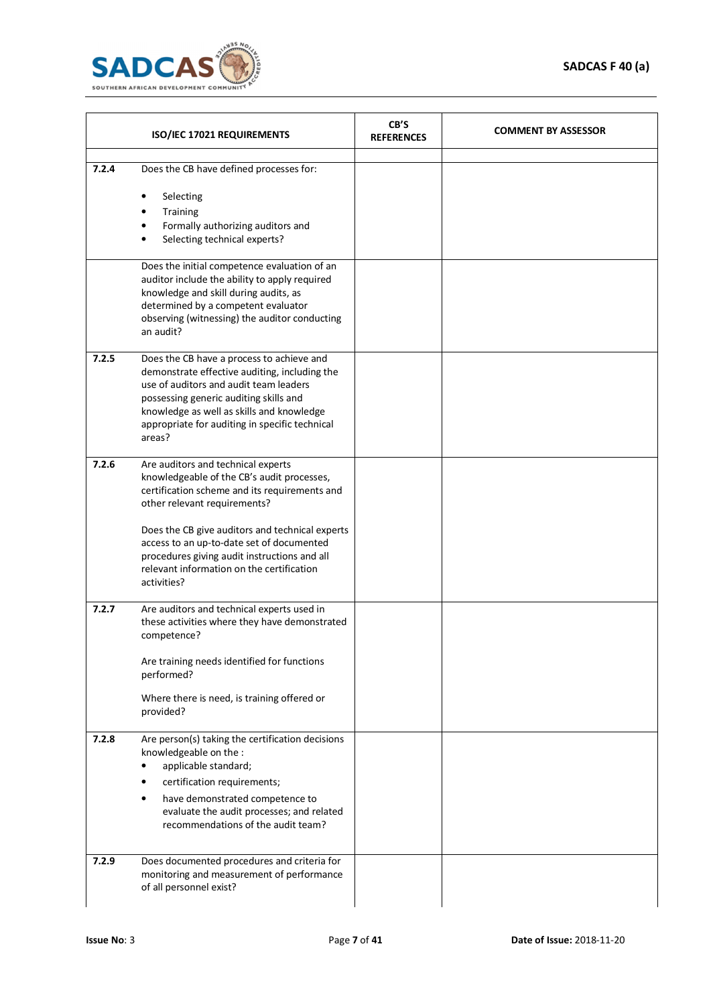

|       | ISO/IEC 17021 REQUIREMENTS                                                                                                                                                                                                                                                              | CB'S<br><b>REFERENCES</b> | <b>COMMENT BY ASSESSOR</b> |
|-------|-----------------------------------------------------------------------------------------------------------------------------------------------------------------------------------------------------------------------------------------------------------------------------------------|---------------------------|----------------------------|
| 7.2.4 | Does the CB have defined processes for:<br>Selecting<br>Training<br>Formally authorizing auditors and<br>Selecting technical experts?                                                                                                                                                   |                           |                            |
|       | Does the initial competence evaluation of an<br>auditor include the ability to apply required<br>knowledge and skill during audits, as<br>determined by a competent evaluator<br>observing (witnessing) the auditor conducting<br>an audit?                                             |                           |                            |
| 7.2.5 | Does the CB have a process to achieve and<br>demonstrate effective auditing, including the<br>use of auditors and audit team leaders<br>possessing generic auditing skills and<br>knowledge as well as skills and knowledge<br>appropriate for auditing in specific technical<br>areas? |                           |                            |
| 7.2.6 | Are auditors and technical experts<br>knowledgeable of the CB's audit processes,<br>certification scheme and its requirements and<br>other relevant requirements?                                                                                                                       |                           |                            |
|       | Does the CB give auditors and technical experts<br>access to an up-to-date set of documented<br>procedures giving audit instructions and all<br>relevant information on the certification<br>activities?                                                                                |                           |                            |
| 7.2.7 | Are auditors and technical experts used in<br>these activities where they have demonstrated<br>competence?                                                                                                                                                                              |                           |                            |
|       | Are training needs identified for functions<br>performed?                                                                                                                                                                                                                               |                           |                            |
|       | Where there is need, is training offered or<br>provided?                                                                                                                                                                                                                                |                           |                            |
| 7.2.8 | Are person(s) taking the certification decisions<br>knowledgeable on the :<br>applicable standard;<br>certification requirements;<br>have demonstrated competence to<br>evaluate the audit processes; and related<br>recommendations of the audit team?                                 |                           |                            |
| 7.2.9 | Does documented procedures and criteria for<br>monitoring and measurement of performance<br>of all personnel exist?                                                                                                                                                                     |                           |                            |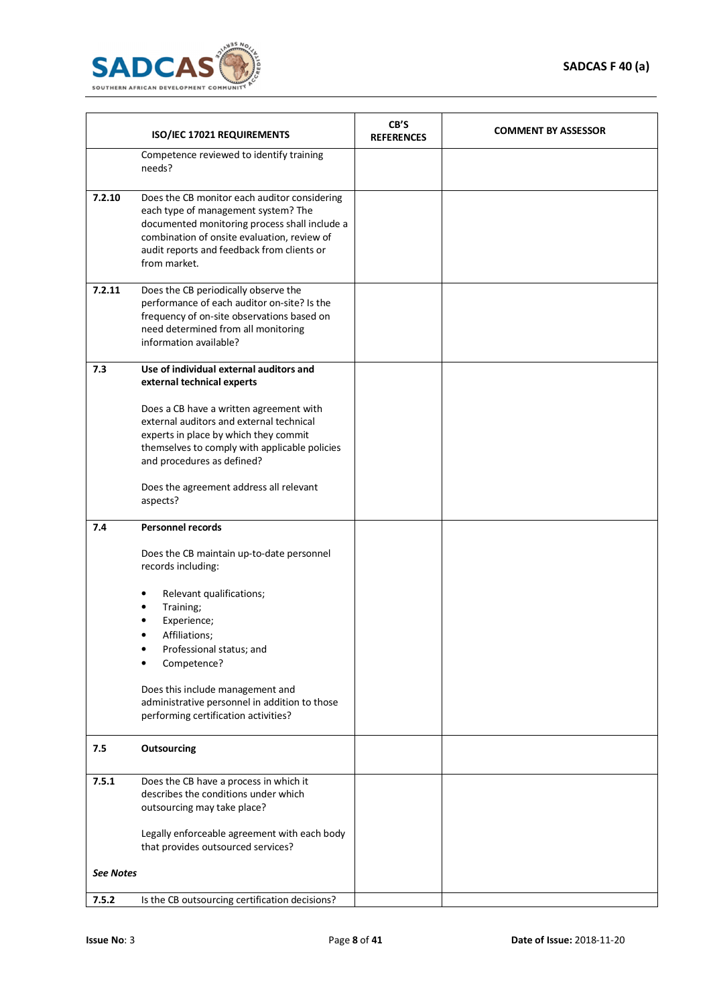

|                  | ISO/IEC 17021 REQUIREMENTS                                                                                                                                                                                                                        | CB'S<br><b>REFERENCES</b> | <b>COMMENT BY ASSESSOR</b> |
|------------------|---------------------------------------------------------------------------------------------------------------------------------------------------------------------------------------------------------------------------------------------------|---------------------------|----------------------------|
|                  | Competence reviewed to identify training<br>needs?                                                                                                                                                                                                |                           |                            |
| 7.2.10           | Does the CB monitor each auditor considering<br>each type of management system? The<br>documented monitoring process shall include a<br>combination of onsite evaluation, review of<br>audit reports and feedback from clients or<br>from market. |                           |                            |
| 7.2.11           | Does the CB periodically observe the<br>performance of each auditor on-site? Is the<br>frequency of on-site observations based on<br>need determined from all monitoring<br>information available?                                                |                           |                            |
| 7.3              | Use of individual external auditors and<br>external technical experts                                                                                                                                                                             |                           |                            |
|                  | Does a CB have a written agreement with<br>external auditors and external technical<br>experts in place by which they commit<br>themselves to comply with applicable policies<br>and procedures as defined?                                       |                           |                            |
|                  | Does the agreement address all relevant<br>aspects?                                                                                                                                                                                               |                           |                            |
| 7.4              | <b>Personnel records</b>                                                                                                                                                                                                                          |                           |                            |
|                  | Does the CB maintain up-to-date personnel<br>records including:                                                                                                                                                                                   |                           |                            |
|                  | Relevant qualifications;<br>Training;<br>Experience;<br>Affiliations;<br>Professional status; and<br>Competence?                                                                                                                                  |                           |                            |
|                  | Does this include management and<br>administrative personnel in addition to those<br>performing certification activities?                                                                                                                         |                           |                            |
| 7.5              | <b>Outsourcing</b>                                                                                                                                                                                                                                |                           |                            |
| 7.5.1            | Does the CB have a process in which it<br>describes the conditions under which<br>outsourcing may take place?<br>Legally enforceable agreement with each body                                                                                     |                           |                            |
|                  | that provides outsourced services?                                                                                                                                                                                                                |                           |                            |
| <b>See Notes</b> |                                                                                                                                                                                                                                                   |                           |                            |
| 7.5.2            | Is the CB outsourcing certification decisions?                                                                                                                                                                                                    |                           |                            |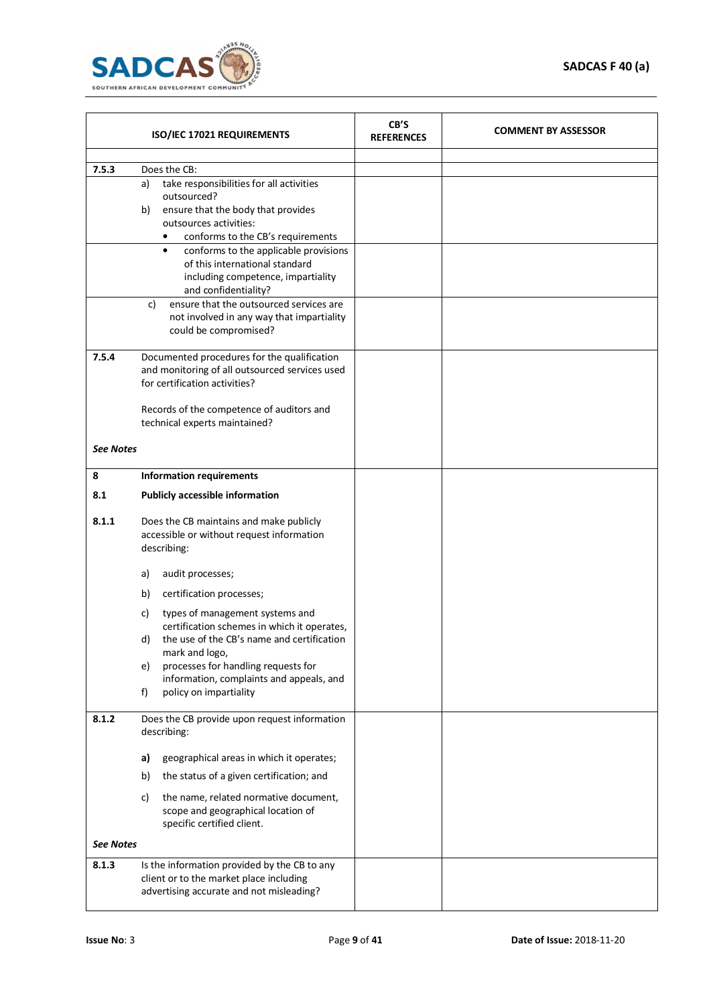

| ISO/IEC 17021 REQUIREMENTS |                                                                                                                                     | CB'S<br><b>REFERENCES</b> | <b>COMMENT BY ASSESSOR</b> |
|----------------------------|-------------------------------------------------------------------------------------------------------------------------------------|---------------------------|----------------------------|
|                            |                                                                                                                                     |                           |                            |
| 7.5.3                      | Does the CB:<br>take responsibilities for all activities                                                                            |                           |                            |
|                            | a)<br>outsourced?                                                                                                                   |                           |                            |
|                            | b)<br>ensure that the body that provides                                                                                            |                           |                            |
|                            | outsources activities:                                                                                                              |                           |                            |
|                            | conforms to the CB's requirements<br>٠                                                                                              |                           |                            |
|                            | conforms to the applicable provisions<br>$\bullet$                                                                                  |                           |                            |
|                            | of this international standard<br>including competence, impartiality                                                                |                           |                            |
|                            | and confidentiality?                                                                                                                |                           |                            |
|                            | ensure that the outsourced services are<br>c)                                                                                       |                           |                            |
|                            | not involved in any way that impartiality                                                                                           |                           |                            |
|                            | could be compromised?                                                                                                               |                           |                            |
| 7.5.4                      | Documented procedures for the qualification                                                                                         |                           |                            |
|                            | and monitoring of all outsourced services used                                                                                      |                           |                            |
|                            | for certification activities?                                                                                                       |                           |                            |
|                            |                                                                                                                                     |                           |                            |
|                            | Records of the competence of auditors and                                                                                           |                           |                            |
|                            | technical experts maintained?                                                                                                       |                           |                            |
| <b>See Notes</b>           |                                                                                                                                     |                           |                            |
|                            |                                                                                                                                     |                           |                            |
| 8                          | <b>Information requirements</b>                                                                                                     |                           |                            |
| 8.1                        | <b>Publicly accessible information</b>                                                                                              |                           |                            |
| 8.1.1                      | Does the CB maintains and make publicly<br>accessible or without request information<br>describing:                                 |                           |                            |
|                            | audit processes;<br>a)                                                                                                              |                           |                            |
|                            | certification processes;<br>b)                                                                                                      |                           |                            |
|                            | types of management systems and<br>c)                                                                                               |                           |                            |
|                            | certification schemes in which it operates,                                                                                         |                           |                            |
|                            | the use of the CB's name and certification<br>d)                                                                                    |                           |                            |
|                            | mark and logo,<br>processes for handling requests for<br>e)                                                                         |                           |                            |
|                            | information, complaints and appeals, and                                                                                            |                           |                            |
|                            | f)<br>policy on impartiality                                                                                                        |                           |                            |
|                            |                                                                                                                                     |                           |                            |
| 8.1.2                      | Does the CB provide upon request information<br>describing:                                                                         |                           |                            |
|                            | geographical areas in which it operates;<br>a)                                                                                      |                           |                            |
|                            | the status of a given certification; and<br>b)                                                                                      |                           |                            |
|                            | the name, related normative document,<br>c)<br>scope and geographical location of<br>specific certified client.                     |                           |                            |
| <b>See Notes</b>           |                                                                                                                                     |                           |                            |
| 8.1.3                      |                                                                                                                                     |                           |                            |
|                            | Is the information provided by the CB to any<br>client or to the market place including<br>advertising accurate and not misleading? |                           |                            |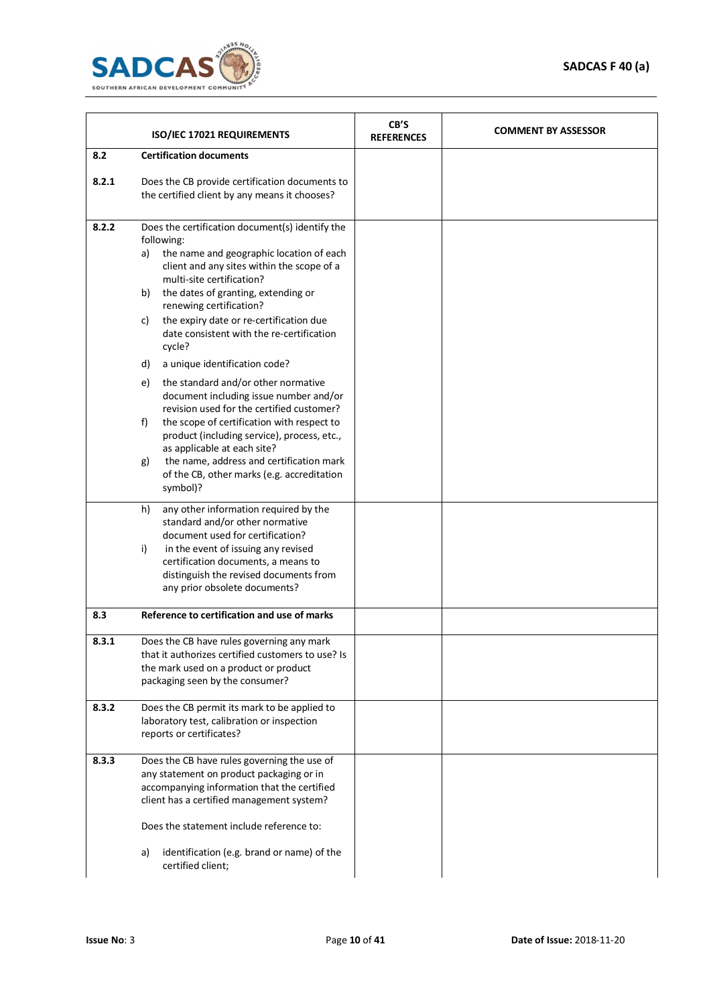

|       | ISO/IEC 17021 REQUIREMENTS                                                                                                                                                                                                                                                                                                                                                                                                                                                                                                                                                                                                                                                                                                                                                                          | CB'S<br><b>REFERENCES</b> | <b>COMMENT BY ASSESSOR</b> |  |
|-------|-----------------------------------------------------------------------------------------------------------------------------------------------------------------------------------------------------------------------------------------------------------------------------------------------------------------------------------------------------------------------------------------------------------------------------------------------------------------------------------------------------------------------------------------------------------------------------------------------------------------------------------------------------------------------------------------------------------------------------------------------------------------------------------------------------|---------------------------|----------------------------|--|
| 8.2   | <b>Certification documents</b>                                                                                                                                                                                                                                                                                                                                                                                                                                                                                                                                                                                                                                                                                                                                                                      |                           |                            |  |
| 8.2.1 | Does the CB provide certification documents to<br>the certified client by any means it chooses?                                                                                                                                                                                                                                                                                                                                                                                                                                                                                                                                                                                                                                                                                                     |                           |                            |  |
| 8.2.2 | Does the certification document(s) identify the<br>following:<br>the name and geographic location of each<br>a)<br>client and any sites within the scope of a<br>multi-site certification?<br>the dates of granting, extending or<br>b)<br>renewing certification?<br>the expiry date or re-certification due<br>c)<br>date consistent with the re-certification<br>cycle?<br>d)<br>a unique identification code?<br>the standard and/or other normative<br>e)<br>document including issue number and/or<br>revision used for the certified customer?<br>f)<br>the scope of certification with respect to<br>product (including service), process, etc.,<br>as applicable at each site?<br>the name, address and certification mark<br>g)<br>of the CB, other marks (e.g. accreditation<br>symbol)? |                           |                            |  |
|       | any other information required by the<br>h)<br>standard and/or other normative<br>document used for certification?<br>i)<br>in the event of issuing any revised<br>certification documents, a means to<br>distinguish the revised documents from<br>any prior obsolete documents?                                                                                                                                                                                                                                                                                                                                                                                                                                                                                                                   |                           |                            |  |
| 8.3   | Reference to certification and use of marks                                                                                                                                                                                                                                                                                                                                                                                                                                                                                                                                                                                                                                                                                                                                                         |                           |                            |  |
| 8.3.1 | Does the CB have rules governing any mark<br>that it authorizes certified customers to use? Is<br>the mark used on a product or product<br>packaging seen by the consumer?                                                                                                                                                                                                                                                                                                                                                                                                                                                                                                                                                                                                                          |                           |                            |  |
| 8.3.2 | Does the CB permit its mark to be applied to<br>laboratory test, calibration or inspection<br>reports or certificates?                                                                                                                                                                                                                                                                                                                                                                                                                                                                                                                                                                                                                                                                              |                           |                            |  |
| 8.3.3 | Does the CB have rules governing the use of<br>any statement on product packaging or in<br>accompanying information that the certified<br>client has a certified management system?<br>Does the statement include reference to:<br>identification (e.g. brand or name) of the<br>a)<br>certified client;                                                                                                                                                                                                                                                                                                                                                                                                                                                                                            |                           |                            |  |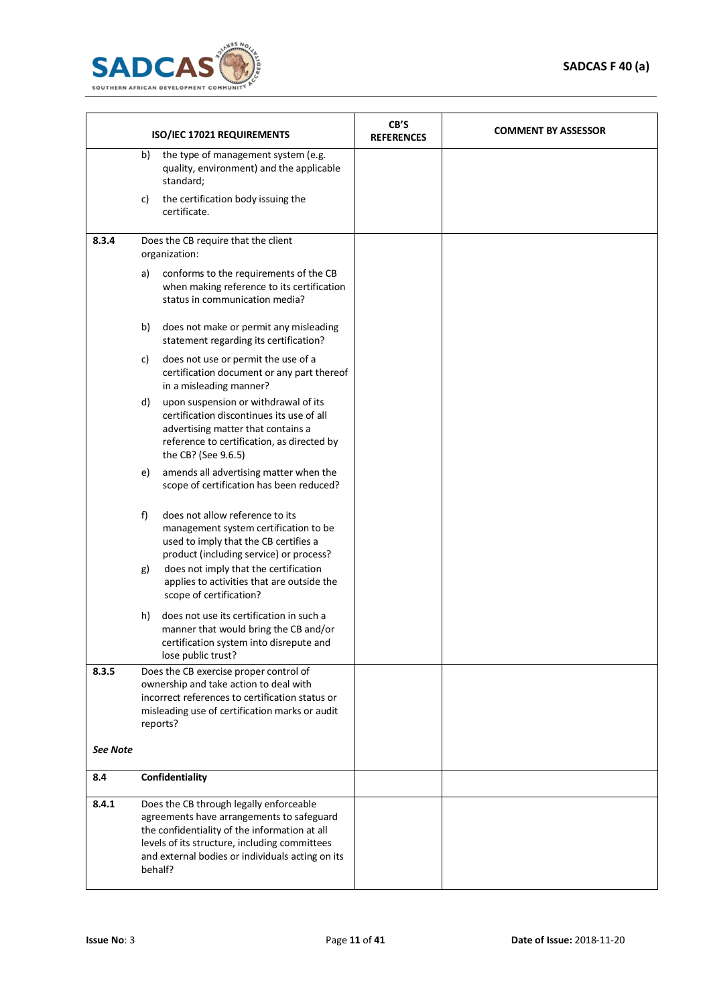

|                 |                                                                                                                                                                                                                                                       | ISO/IEC 17021 REQUIREMENTS                                                                                                                                                                        | CB'S<br><b>REFERENCES</b> | <b>COMMENT BY ASSESSOR</b> |
|-----------------|-------------------------------------------------------------------------------------------------------------------------------------------------------------------------------------------------------------------------------------------------------|---------------------------------------------------------------------------------------------------------------------------------------------------------------------------------------------------|---------------------------|----------------------------|
|                 | b)                                                                                                                                                                                                                                                    | the type of management system (e.g.<br>quality, environment) and the applicable<br>standard;                                                                                                      |                           |                            |
|                 | C)                                                                                                                                                                                                                                                    | the certification body issuing the<br>certificate.                                                                                                                                                |                           |                            |
| 8.3.4           |                                                                                                                                                                                                                                                       | Does the CB require that the client<br>organization:                                                                                                                                              |                           |                            |
|                 | a)                                                                                                                                                                                                                                                    | conforms to the requirements of the CB<br>when making reference to its certification<br>status in communication media?                                                                            |                           |                            |
|                 | b)                                                                                                                                                                                                                                                    | does not make or permit any misleading<br>statement regarding its certification?                                                                                                                  |                           |                            |
|                 | c)                                                                                                                                                                                                                                                    | does not use or permit the use of a<br>certification document or any part thereof<br>in a misleading manner?                                                                                      |                           |                            |
|                 | d)                                                                                                                                                                                                                                                    | upon suspension or withdrawal of its<br>certification discontinues its use of all<br>advertising matter that contains a<br>reference to certification, as directed by<br>the CB? (See 9.6.5)      |                           |                            |
|                 | e)                                                                                                                                                                                                                                                    | amends all advertising matter when the<br>scope of certification has been reduced?                                                                                                                |                           |                            |
|                 | f)                                                                                                                                                                                                                                                    | does not allow reference to its<br>management system certification to be<br>used to imply that the CB certifies a<br>product (including service) or process?                                      |                           |                            |
|                 | g)                                                                                                                                                                                                                                                    | does not imply that the certification<br>applies to activities that are outside the<br>scope of certification?                                                                                    |                           |                            |
|                 | h)                                                                                                                                                                                                                                                    | does not use its certification in such a<br>manner that would bring the CB and/or<br>certification system into disrepute and<br>lose public trust?                                                |                           |                            |
| 8.3.5           |                                                                                                                                                                                                                                                       | Does the CB exercise proper control of<br>ownership and take action to deal with<br>incorrect references to certification status or<br>misleading use of certification marks or audit<br>reports? |                           |                            |
| <b>See Note</b> |                                                                                                                                                                                                                                                       |                                                                                                                                                                                                   |                           |                            |
| 8.4             |                                                                                                                                                                                                                                                       | Confidentiality                                                                                                                                                                                   |                           |                            |
| 8.4.1           | Does the CB through legally enforceable<br>agreements have arrangements to safeguard<br>the confidentiality of the information at all<br>levels of its structure, including committees<br>and external bodies or individuals acting on its<br>behalf? |                                                                                                                                                                                                   |                           |                            |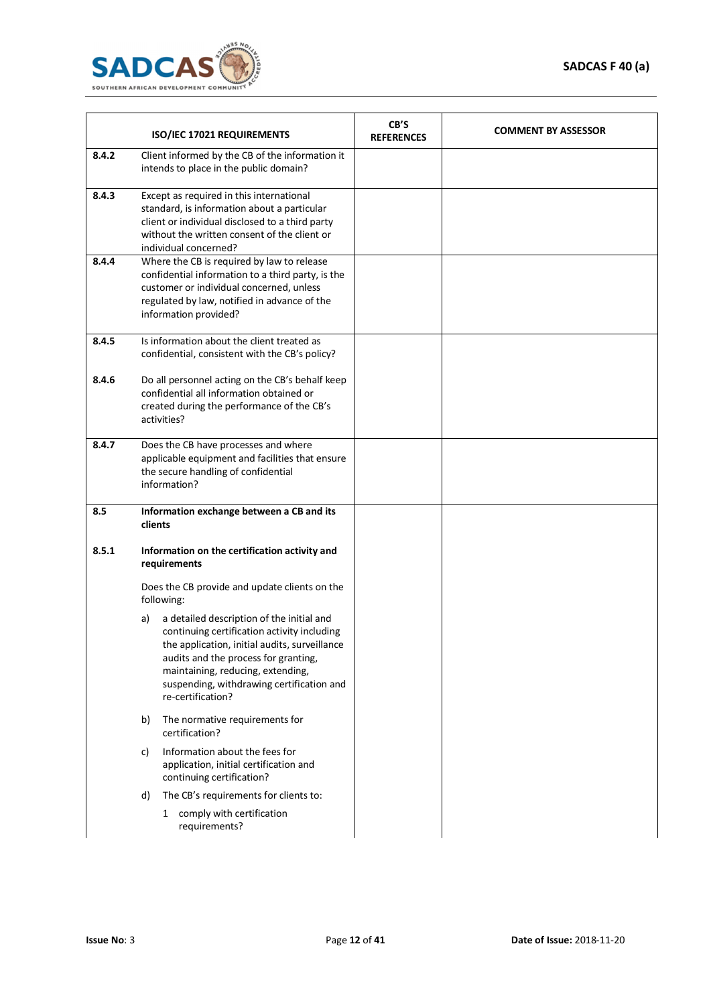

|       | ISO/IEC 17021 REQUIREMENTS                                                                                                                                                                                                                                                                     | CB'S<br><b>REFERENCES</b> | <b>COMMENT BY ASSESSOR</b> |
|-------|------------------------------------------------------------------------------------------------------------------------------------------------------------------------------------------------------------------------------------------------------------------------------------------------|---------------------------|----------------------------|
| 8.4.2 | Client informed by the CB of the information it<br>intends to place in the public domain?                                                                                                                                                                                                      |                           |                            |
| 8.4.3 | Except as required in this international<br>standard, is information about a particular<br>client or individual disclosed to a third party<br>without the written consent of the client or<br>individual concerned?                                                                            |                           |                            |
| 8.4.4 | Where the CB is required by law to release<br>confidential information to a third party, is the<br>customer or individual concerned, unless<br>regulated by law, notified in advance of the<br>information provided?                                                                           |                           |                            |
| 8.4.5 | Is information about the client treated as<br>confidential, consistent with the CB's policy?                                                                                                                                                                                                   |                           |                            |
| 8.4.6 | Do all personnel acting on the CB's behalf keep<br>confidential all information obtained or<br>created during the performance of the CB's<br>activities?                                                                                                                                       |                           |                            |
| 8.4.7 | Does the CB have processes and where<br>applicable equipment and facilities that ensure<br>the secure handling of confidential<br>information?                                                                                                                                                 |                           |                            |
| 8.5   | Information exchange between a CB and its<br>clients                                                                                                                                                                                                                                           |                           |                            |
| 8.5.1 | Information on the certification activity and<br>requirements                                                                                                                                                                                                                                  |                           |                            |
|       | Does the CB provide and update clients on the<br>following:                                                                                                                                                                                                                                    |                           |                            |
|       | a detailed description of the initial and<br>a)<br>continuing certification activity including<br>the application, initial audits, surveillance<br>audits and the process for granting,<br>maintaining, reducing, extending,<br>suspending, withdrawing certification and<br>re-certification? |                           |                            |
|       | The normative requirements for<br>b)<br>certification?                                                                                                                                                                                                                                         |                           |                            |
|       | Information about the fees for<br>C)<br>application, initial certification and<br>continuing certification?                                                                                                                                                                                    |                           |                            |
|       | The CB's requirements for clients to:<br>d)<br>1 comply with certification                                                                                                                                                                                                                     |                           |                            |
|       | requirements?                                                                                                                                                                                                                                                                                  |                           |                            |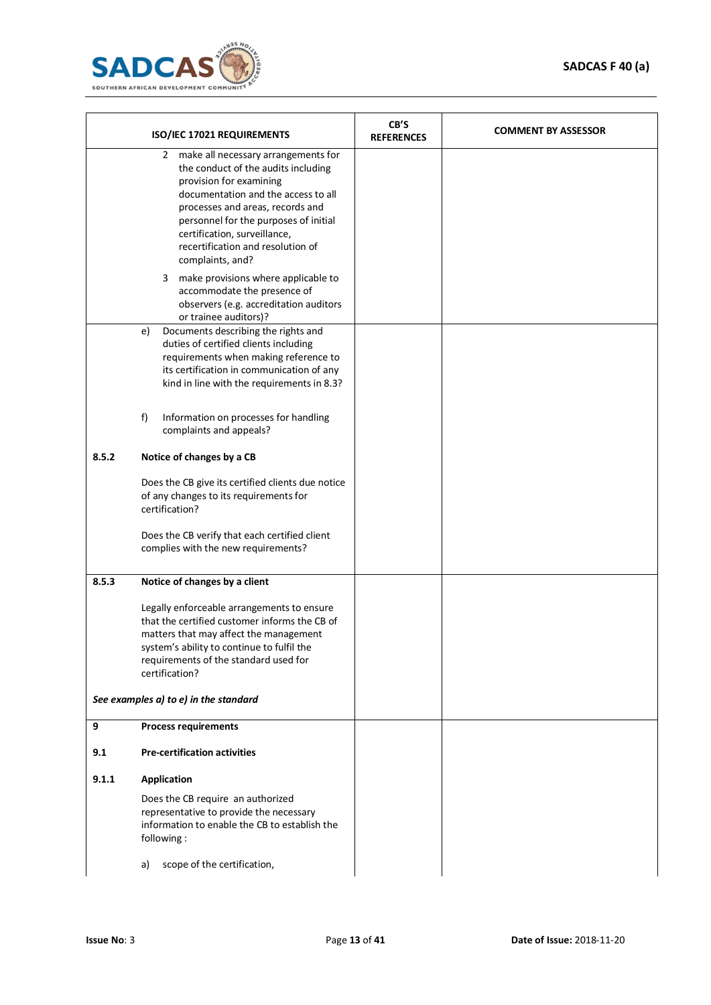

|       | ISO/IEC 17021 REQUIREMENTS                                                                                                                                                                                                                                                                                              | CB'S<br><b>REFERENCES</b> | <b>COMMENT BY ASSESSOR</b> |
|-------|-------------------------------------------------------------------------------------------------------------------------------------------------------------------------------------------------------------------------------------------------------------------------------------------------------------------------|---------------------------|----------------------------|
|       | make all necessary arrangements for<br>2<br>the conduct of the audits including<br>provision for examining<br>documentation and the access to all<br>processes and areas, records and<br>personnel for the purposes of initial<br>certification, surveillance,<br>recertification and resolution of<br>complaints, and? |                           |                            |
|       | 3 make provisions where applicable to<br>accommodate the presence of<br>observers (e.g. accreditation auditors<br>or trainee auditors)?                                                                                                                                                                                 |                           |                            |
|       | Documents describing the rights and<br>e)<br>duties of certified clients including<br>requirements when making reference to<br>its certification in communication of any<br>kind in line with the requirements in 8.3?<br>Information on processes for handling<br>f)                                                   |                           |                            |
|       | complaints and appeals?                                                                                                                                                                                                                                                                                                 |                           |                            |
| 8.5.2 | Notice of changes by a CB                                                                                                                                                                                                                                                                                               |                           |                            |
|       | Does the CB give its certified clients due notice<br>of any changes to its requirements for<br>certification?                                                                                                                                                                                                           |                           |                            |
|       | Does the CB verify that each certified client<br>complies with the new requirements?                                                                                                                                                                                                                                    |                           |                            |
| 8.5.3 | Notice of changes by a client                                                                                                                                                                                                                                                                                           |                           |                            |
|       | Legally enforceable arrangements to ensure<br>that the certified customer informs the CB of<br>matters that may affect the management<br>system's ability to continue to fulfil the<br>requirements of the standard used for<br>certification?                                                                          |                           |                            |
|       | See examples a) to e) in the standard                                                                                                                                                                                                                                                                                   |                           |                            |
| 9     | <b>Process requirements</b>                                                                                                                                                                                                                                                                                             |                           |                            |
| 9.1   | <b>Pre-certification activities</b>                                                                                                                                                                                                                                                                                     |                           |                            |
| 9.1.1 | <b>Application</b>                                                                                                                                                                                                                                                                                                      |                           |                            |
|       | Does the CB require an authorized<br>representative to provide the necessary<br>information to enable the CB to establish the<br>following:                                                                                                                                                                             |                           |                            |
|       | scope of the certification,<br>a)                                                                                                                                                                                                                                                                                       |                           |                            |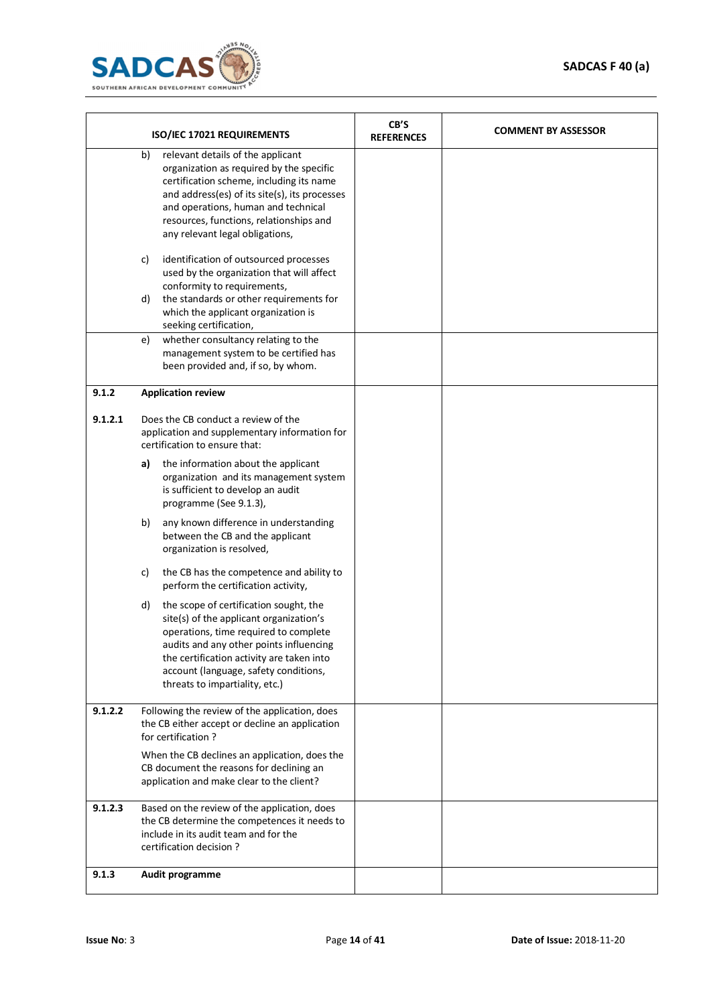

|         |    | ISO/IEC 17021 REQUIREMENTS                                                                                                                                                                                                                                                                      | CB'S<br><b>REFERENCES</b> | <b>COMMENT BY ASSESSOR</b> |
|---------|----|-------------------------------------------------------------------------------------------------------------------------------------------------------------------------------------------------------------------------------------------------------------------------------------------------|---------------------------|----------------------------|
|         | b) | relevant details of the applicant<br>organization as required by the specific<br>certification scheme, including its name<br>and address(es) of its site(s), its processes<br>and operations, human and technical<br>resources, functions, relationships and<br>any relevant legal obligations, |                           |                            |
|         | c) | identification of outsourced processes<br>used by the organization that will affect<br>conformity to requirements,                                                                                                                                                                              |                           |                            |
|         | d) | the standards or other requirements for<br>which the applicant organization is<br>seeking certification,                                                                                                                                                                                        |                           |                            |
|         | e) | whether consultancy relating to the<br>management system to be certified has<br>been provided and, if so, by whom.                                                                                                                                                                              |                           |                            |
| 9.1.2   |    | <b>Application review</b>                                                                                                                                                                                                                                                                       |                           |                            |
| 9.1.2.1 |    | Does the CB conduct a review of the<br>application and supplementary information for<br>certification to ensure that:                                                                                                                                                                           |                           |                            |
|         | a) | the information about the applicant<br>organization and its management system<br>is sufficient to develop an audit<br>programme (See 9.1.3),                                                                                                                                                    |                           |                            |
|         | b) | any known difference in understanding<br>between the CB and the applicant<br>organization is resolved,                                                                                                                                                                                          |                           |                            |
|         | c) | the CB has the competence and ability to<br>perform the certification activity,                                                                                                                                                                                                                 |                           |                            |
|         | d) | the scope of certification sought, the<br>site(s) of the applicant organization's<br>operations, time required to complete<br>audits and any other points influencing<br>the certification activity are taken into<br>account (language, safety conditions,<br>threats to impartiality, etc.)   |                           |                            |
| 9.1.2.2 |    | Following the review of the application, does<br>the CB either accept or decline an application<br>for certification?                                                                                                                                                                           |                           |                            |
|         |    | When the CB declines an application, does the<br>CB document the reasons for declining an<br>application and make clear to the client?                                                                                                                                                          |                           |                            |
| 9.1.2.3 |    | Based on the review of the application, does<br>the CB determine the competences it needs to<br>include in its audit team and for the<br>certification decision?                                                                                                                                |                           |                            |
| 9.1.3   |    | Audit programme                                                                                                                                                                                                                                                                                 |                           |                            |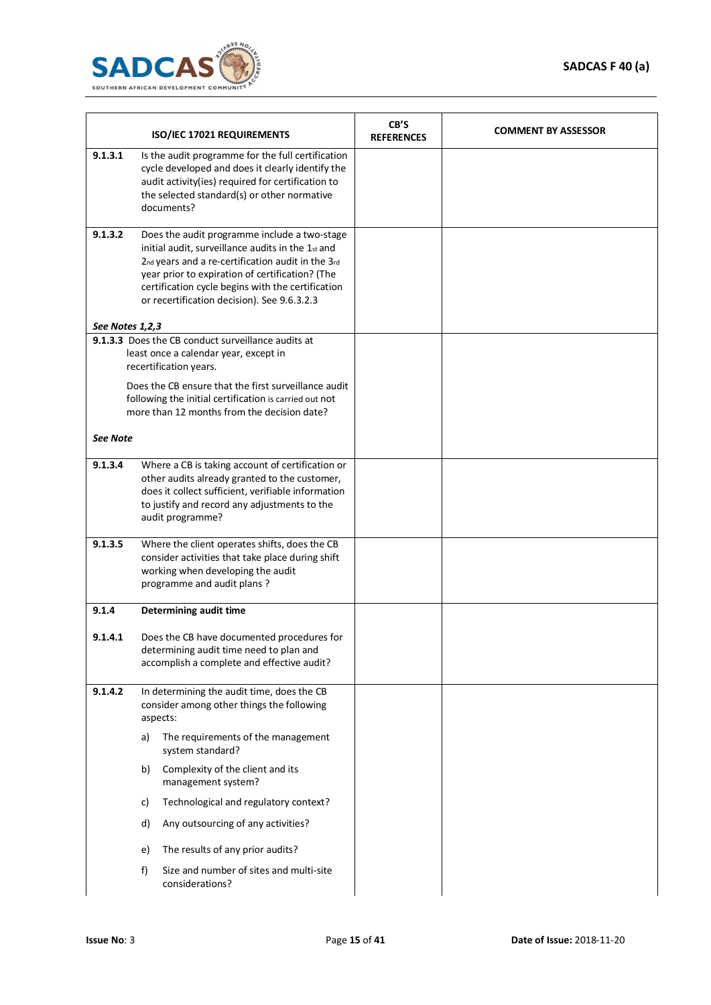

|                 | ISO/IEC 17021 REQUIREMENTS                                                                                                                                                                                                                                                                                    | CB'S<br><b>REFERENCES</b> | <b>COMMENT BY ASSESSOR</b> |
|-----------------|---------------------------------------------------------------------------------------------------------------------------------------------------------------------------------------------------------------------------------------------------------------------------------------------------------------|---------------------------|----------------------------|
| 9.1.3.1         | Is the audit programme for the full certification<br>cycle developed and does it clearly identify the<br>audit activity(ies) required for certification to<br>the selected standard(s) or other normative<br>documents?                                                                                       |                           |                            |
| 9.1.3.2         | Does the audit programme include a two-stage<br>initial audit, surveillance audits in the 1st and<br>2nd years and a re-certification audit in the 3rd<br>year prior to expiration of certification? (The<br>certification cycle begins with the certification<br>or recertification decision). See 9.6.3.2.3 |                           |                            |
| See Notes 1,2,3 |                                                                                                                                                                                                                                                                                                               |                           |                            |
|                 | 9.1.3.3 Does the CB conduct surveillance audits at<br>least once a calendar year, except in<br>recertification years.                                                                                                                                                                                         |                           |                            |
|                 | Does the CB ensure that the first surveillance audit<br>following the initial certification is carried out not<br>more than 12 months from the decision date?                                                                                                                                                 |                           |                            |
| <b>See Note</b> |                                                                                                                                                                                                                                                                                                               |                           |                            |
| 9.1.3.4         | Where a CB is taking account of certification or<br>other audits already granted to the customer,<br>does it collect sufficient, verifiable information<br>to justify and record any adjustments to the<br>audit programme?                                                                                   |                           |                            |
| 9.1.3.5         | Where the client operates shifts, does the CB<br>consider activities that take place during shift<br>working when developing the audit<br>programme and audit plans?                                                                                                                                          |                           |                            |
| 9.1.4           | Determining audit time                                                                                                                                                                                                                                                                                        |                           |                            |
| 9.1.4.1         | Does the CB have documented procedures for<br>determining audit time need to plan and<br>accomplish a complete and effective audit?                                                                                                                                                                           |                           |                            |
| 9.1.4.2         | In determining the audit time, does the CB<br>consider among other things the following<br>aspects:                                                                                                                                                                                                           |                           |                            |
|                 | The requirements of the management<br>a)<br>system standard?                                                                                                                                                                                                                                                  |                           |                            |
|                 | Complexity of the client and its<br>b)<br>management system?                                                                                                                                                                                                                                                  |                           |                            |
|                 | Technological and regulatory context?<br>C)                                                                                                                                                                                                                                                                   |                           |                            |
|                 | Any outsourcing of any activities?<br>d)                                                                                                                                                                                                                                                                      |                           |                            |
|                 | The results of any prior audits?<br>e)                                                                                                                                                                                                                                                                        |                           |                            |
|                 | Size and number of sites and multi-site<br>f)<br>considerations?                                                                                                                                                                                                                                              |                           |                            |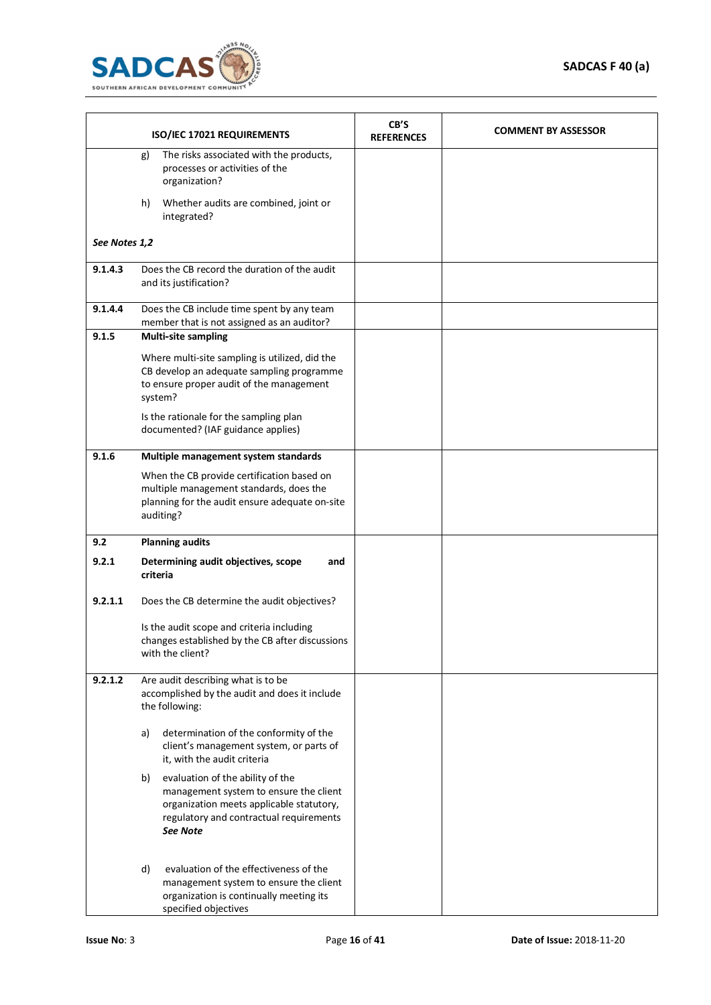

|               |    | ISO/IEC 17021 REQUIREMENTS                                                                                                                                                    | CB'S<br><b>REFERENCES</b> | <b>COMMENT BY ASSESSOR</b> |
|---------------|----|-------------------------------------------------------------------------------------------------------------------------------------------------------------------------------|---------------------------|----------------------------|
|               | g) | The risks associated with the products,<br>processes or activities of the<br>organization?                                                                                    |                           |                            |
|               | h) | Whether audits are combined, joint or<br>integrated?                                                                                                                          |                           |                            |
| See Notes 1,2 |    |                                                                                                                                                                               |                           |                            |
| 9.1.4.3       |    | Does the CB record the duration of the audit<br>and its justification?                                                                                                        |                           |                            |
| 9.1.4.4       |    | Does the CB include time spent by any team<br>member that is not assigned as an auditor?                                                                                      |                           |                            |
| 9.1.5         |    | <b>Multi-site sampling</b>                                                                                                                                                    |                           |                            |
|               |    | Where multi-site sampling is utilized, did the<br>CB develop an adequate sampling programme<br>to ensure proper audit of the management<br>system?                            |                           |                            |
|               |    | Is the rationale for the sampling plan<br>documented? (IAF guidance applies)                                                                                                  |                           |                            |
| 9.1.6         |    | Multiple management system standards                                                                                                                                          |                           |                            |
|               |    | When the CB provide certification based on<br>multiple management standards, does the<br>planning for the audit ensure adequate on-site<br>auditing?                          |                           |                            |
| 9.2           |    | <b>Planning audits</b>                                                                                                                                                        |                           |                            |
| 9.2.1         |    | Determining audit objectives, scope<br>and<br>criteria                                                                                                                        |                           |                            |
| 9.2.1.1       |    | Does the CB determine the audit objectives?                                                                                                                                   |                           |                            |
|               |    | Is the audit scope and criteria including<br>changes established by the CB after discussions<br>with the client?                                                              |                           |                            |
| 9.2.1.2       |    | Are audit describing what is to be<br>accomplished by the audit and does it include<br>the following:                                                                         |                           |                            |
|               | a) | determination of the conformity of the<br>client's management system, or parts of<br>it, with the audit criteria                                                              |                           |                            |
|               | b) | evaluation of the ability of the<br>management system to ensure the client<br>organization meets applicable statutory,<br>regulatory and contractual requirements<br>See Note |                           |                            |
|               | d) | evaluation of the effectiveness of the<br>management system to ensure the client<br>organization is continually meeting its<br>specified objectives                           |                           |                            |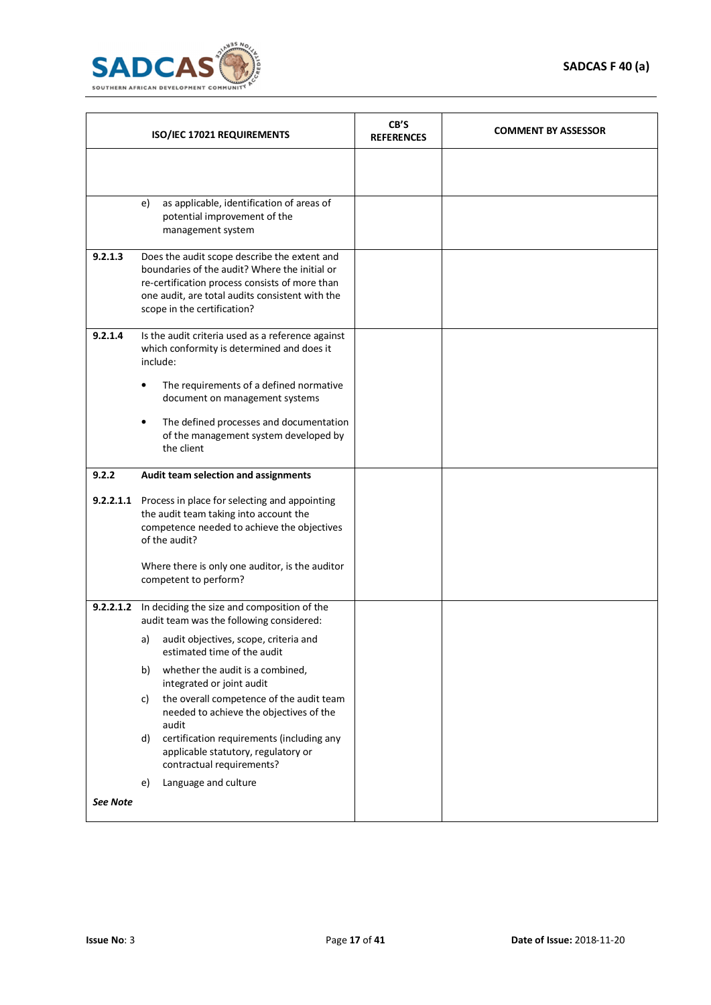

| ISO/IEC 17021 REQUIREMENTS |                                                                                                                                                                                                                                   | CB'S<br><b>REFERENCES</b> | <b>COMMENT BY ASSESSOR</b> |
|----------------------------|-----------------------------------------------------------------------------------------------------------------------------------------------------------------------------------------------------------------------------------|---------------------------|----------------------------|
|                            |                                                                                                                                                                                                                                   |                           |                            |
|                            | as applicable, identification of areas of<br>e)<br>potential improvement of the<br>management system                                                                                                                              |                           |                            |
| 9.2.1.3                    | Does the audit scope describe the extent and<br>boundaries of the audit? Where the initial or<br>re-certification process consists of more than<br>one audit, are total audits consistent with the<br>scope in the certification? |                           |                            |
| 9.2.1.4                    | Is the audit criteria used as a reference against<br>which conformity is determined and does it<br>include:                                                                                                                       |                           |                            |
|                            | The requirements of a defined normative<br>٠<br>document on management systems                                                                                                                                                    |                           |                            |
|                            | The defined processes and documentation<br>$\bullet$<br>of the management system developed by<br>the client                                                                                                                       |                           |                            |
| 9.2.2                      | Audit team selection and assignments                                                                                                                                                                                              |                           |                            |
|                            |                                                                                                                                                                                                                                   |                           |                            |
|                            | 9.2.2.1.1 Process in place for selecting and appointing<br>the audit team taking into account the<br>competence needed to achieve the objectives<br>of the audit?                                                                 |                           |                            |
|                            | Where there is only one auditor, is the auditor<br>competent to perform?                                                                                                                                                          |                           |                            |
|                            | 9.2.2.1.2 In deciding the size and composition of the<br>audit team was the following considered:                                                                                                                                 |                           |                            |
|                            | audit objectives, scope, criteria and<br>a)<br>estimated time of the audit                                                                                                                                                        |                           |                            |
|                            | whether the audit is a combined,<br>b)<br>integrated or joint audit                                                                                                                                                               |                           |                            |
|                            | the overall competence of the audit team<br>c)<br>needed to achieve the objectives of the<br>audit                                                                                                                                |                           |                            |
|                            | certification requirements (including any<br>d)<br>applicable statutory, regulatory or<br>contractual requirements?                                                                                                               |                           |                            |
|                            | Language and culture<br>e)                                                                                                                                                                                                        |                           |                            |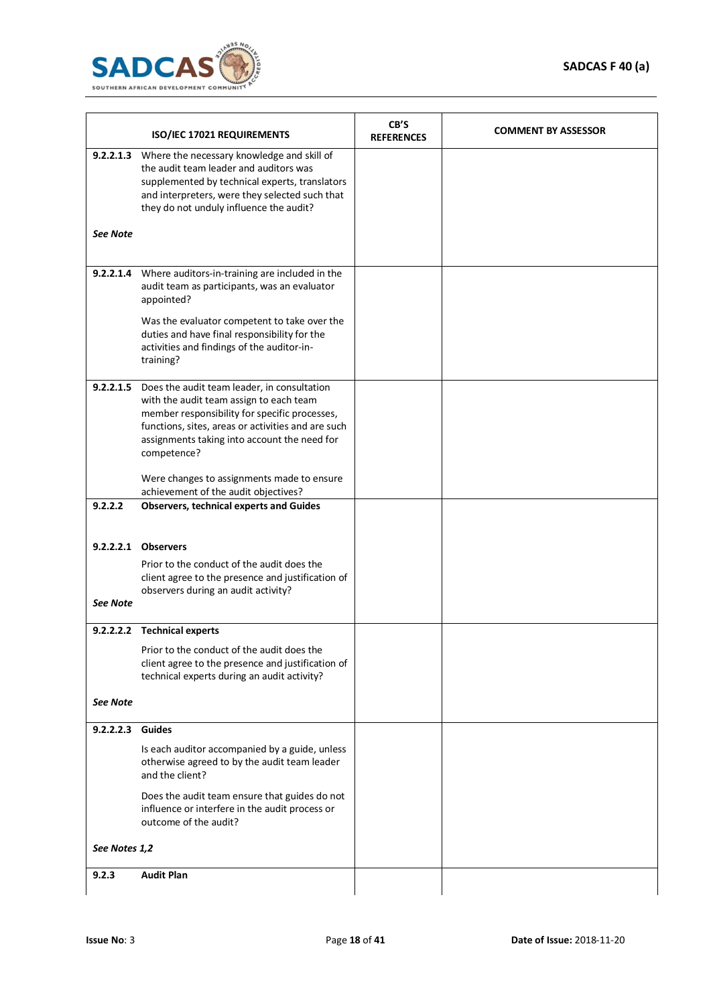

|                 | ISO/IEC 17021 REQUIREMENTS                                                                                                                                                                                                                                             | CB'S<br><b>REFERENCES</b> | <b>COMMENT BY ASSESSOR</b> |
|-----------------|------------------------------------------------------------------------------------------------------------------------------------------------------------------------------------------------------------------------------------------------------------------------|---------------------------|----------------------------|
| <b>See Note</b> | 9.2.2.1.3 Where the necessary knowledge and skill of<br>the audit team leader and auditors was<br>supplemented by technical experts, translators<br>and interpreters, were they selected such that<br>they do not unduly influence the audit?                          |                           |                            |
|                 | 9.2.2.1.4 Where auditors-in-training are included in the<br>audit team as participants, was an evaluator<br>appointed?                                                                                                                                                 |                           |                            |
|                 | Was the evaluator competent to take over the<br>duties and have final responsibility for the<br>activities and findings of the auditor-in-<br>training?                                                                                                                |                           |                            |
|                 | 9.2.2.1.5 Does the audit team leader, in consultation<br>with the audit team assign to each team<br>member responsibility for specific processes,<br>functions, sites, areas or activities and are such<br>assignments taking into account the need for<br>competence? |                           |                            |
|                 | Were changes to assignments made to ensure<br>achievement of the audit objectives?                                                                                                                                                                                     |                           |                            |
| 9.2.2.2         | <b>Observers, technical experts and Guides</b>                                                                                                                                                                                                                         |                           |                            |
| <b>See Note</b> | 9.2.2.2.1 Observers<br>Prior to the conduct of the audit does the<br>client agree to the presence and justification of<br>observers during an audit activity?                                                                                                          |                           |                            |
|                 | 9.2.2.2.2 Technical experts<br>Prior to the conduct of the audit does the<br>client agree to the presence and justification of<br>technical experts during an audit activity?                                                                                          |                           |                            |
| See Note        |                                                                                                                                                                                                                                                                        |                           |                            |
| 9.2.2.2.3       | <b>Guides</b><br>Is each auditor accompanied by a guide, unless<br>otherwise agreed to by the audit team leader<br>and the client?<br>Does the audit team ensure that guides do not                                                                                    |                           |                            |
|                 | influence or interfere in the audit process or<br>outcome of the audit?                                                                                                                                                                                                |                           |                            |
| See Notes 1,2   |                                                                                                                                                                                                                                                                        |                           |                            |
| 9.2.3           | <b>Audit Plan</b>                                                                                                                                                                                                                                                      |                           |                            |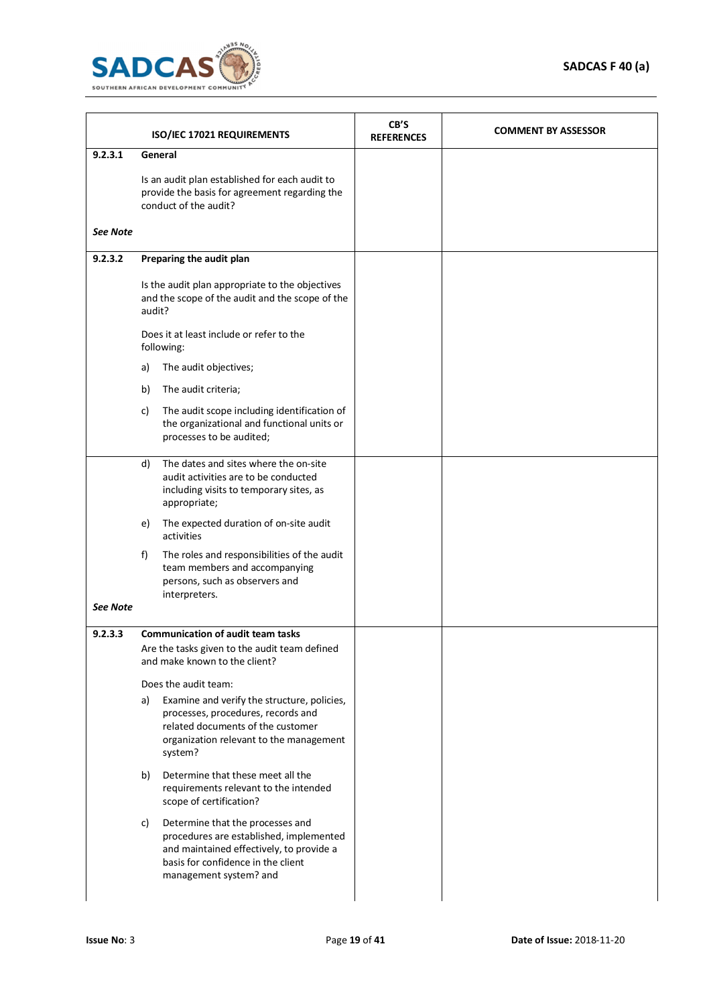

|                 |        | ISO/IEC 17021 REQUIREMENTS                                                                                                                                                              | CB'S<br><b>REFERENCES</b> | <b>COMMENT BY ASSESSOR</b> |
|-----------------|--------|-----------------------------------------------------------------------------------------------------------------------------------------------------------------------------------------|---------------------------|----------------------------|
| 9.2.3.1         |        | General                                                                                                                                                                                 |                           |                            |
|                 |        | Is an audit plan established for each audit to<br>provide the basis for agreement regarding the<br>conduct of the audit?                                                                |                           |                            |
| See Note        |        |                                                                                                                                                                                         |                           |                            |
| 9.2.3.2         |        | Preparing the audit plan                                                                                                                                                                |                           |                            |
|                 | audit? | Is the audit plan appropriate to the objectives<br>and the scope of the audit and the scope of the                                                                                      |                           |                            |
|                 |        | Does it at least include or refer to the<br>following:                                                                                                                                  |                           |                            |
|                 | a)     | The audit objectives;                                                                                                                                                                   |                           |                            |
|                 | b)     | The audit criteria;                                                                                                                                                                     |                           |                            |
|                 | C)     | The audit scope including identification of<br>the organizational and functional units or<br>processes to be audited;                                                                   |                           |                            |
|                 | d)     | The dates and sites where the on-site<br>audit activities are to be conducted<br>including visits to temporary sites, as<br>appropriate;                                                |                           |                            |
|                 | e)     | The expected duration of on-site audit<br>activities                                                                                                                                    |                           |                            |
|                 | f)     | The roles and responsibilities of the audit<br>team members and accompanying<br>persons, such as observers and<br>interpreters.                                                         |                           |                            |
| <b>See Note</b> |        |                                                                                                                                                                                         |                           |                            |
| 9.2.3.3         |        | <b>Communication of audit team tasks</b>                                                                                                                                                |                           |                            |
|                 |        | Are the tasks given to the audit team defined<br>and make known to the client?                                                                                                          |                           |                            |
|                 |        | Does the audit team:                                                                                                                                                                    |                           |                            |
|                 | a)     | Examine and verify the structure, policies,<br>processes, procedures, records and<br>related documents of the customer<br>organization relevant to the management<br>system?            |                           |                            |
|                 | b)     | Determine that these meet all the<br>requirements relevant to the intended<br>scope of certification?                                                                                   |                           |                            |
|                 | c)     | Determine that the processes and<br>procedures are established, implemented<br>and maintained effectively, to provide a<br>basis for confidence in the client<br>management system? and |                           |                            |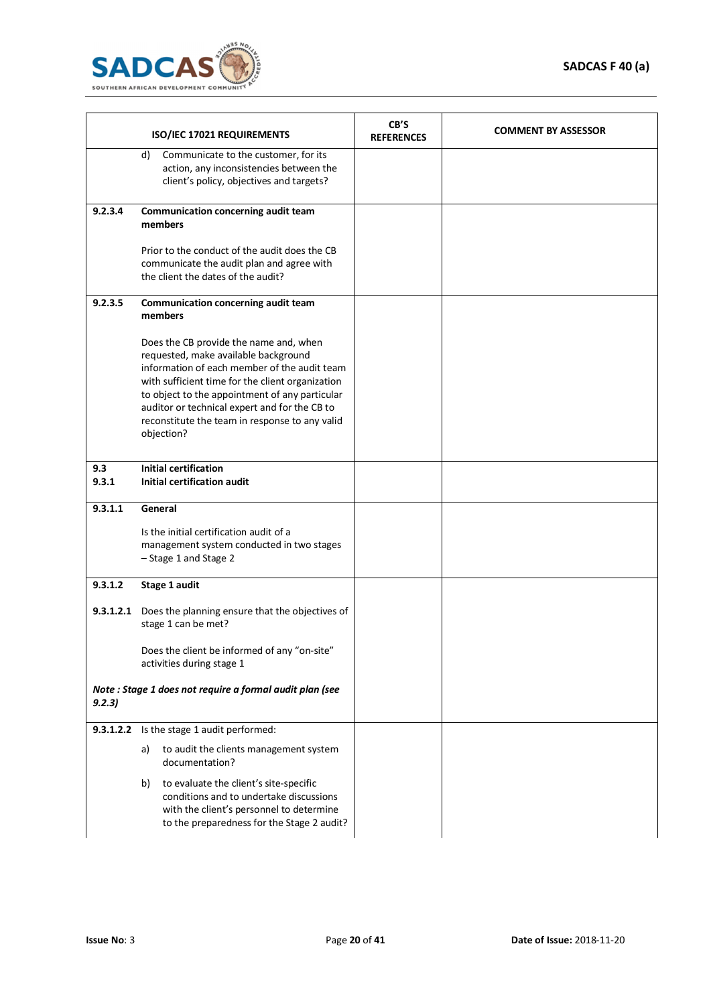

|              | ISO/IEC 17021 REQUIREMENTS                                                                                                                                                                                                                                                                                                                            | CB'S<br><b>REFERENCES</b> | <b>COMMENT BY ASSESSOR</b> |
|--------------|-------------------------------------------------------------------------------------------------------------------------------------------------------------------------------------------------------------------------------------------------------------------------------------------------------------------------------------------------------|---------------------------|----------------------------|
|              | d)<br>Communicate to the customer, for its<br>action, any inconsistencies between the<br>client's policy, objectives and targets?                                                                                                                                                                                                                     |                           |                            |
| 9.2.3.4      | Communication concerning audit team<br>members                                                                                                                                                                                                                                                                                                        |                           |                            |
|              | Prior to the conduct of the audit does the CB<br>communicate the audit plan and agree with<br>the client the dates of the audit?                                                                                                                                                                                                                      |                           |                            |
| 9.2.3.5      | Communication concerning audit team<br>members                                                                                                                                                                                                                                                                                                        |                           |                            |
|              | Does the CB provide the name and, when<br>requested, make available background<br>information of each member of the audit team<br>with sufficient time for the client organization<br>to object to the appointment of any particular<br>auditor or technical expert and for the CB to<br>reconstitute the team in response to any valid<br>objection? |                           |                            |
| 9.3<br>9.3.1 | <b>Initial certification</b><br><b>Initial certification audit</b>                                                                                                                                                                                                                                                                                    |                           |                            |
| 9.3.1.1      | General                                                                                                                                                                                                                                                                                                                                               |                           |                            |
|              | Is the initial certification audit of a<br>management system conducted in two stages<br>- Stage 1 and Stage 2                                                                                                                                                                                                                                         |                           |                            |
| 9.3.1.2      | Stage 1 audit                                                                                                                                                                                                                                                                                                                                         |                           |                            |
| 9.3.1.2.1    | Does the planning ensure that the objectives of<br>stage 1 can be met?                                                                                                                                                                                                                                                                                |                           |                            |
|              | Does the client be informed of any "on-site"<br>activities during stage 1                                                                                                                                                                                                                                                                             |                           |                            |
| 9.2.3)       | Note : Stage 1 does not require a formal audit plan (see                                                                                                                                                                                                                                                                                              |                           |                            |
| 9.3.1.2.2    | Is the stage 1 audit performed:                                                                                                                                                                                                                                                                                                                       |                           |                            |
|              | to audit the clients management system<br>a)<br>documentation?                                                                                                                                                                                                                                                                                        |                           |                            |
|              | to evaluate the client's site-specific<br>b)<br>conditions and to undertake discussions<br>with the client's personnel to determine<br>to the preparedness for the Stage 2 audit?                                                                                                                                                                     |                           |                            |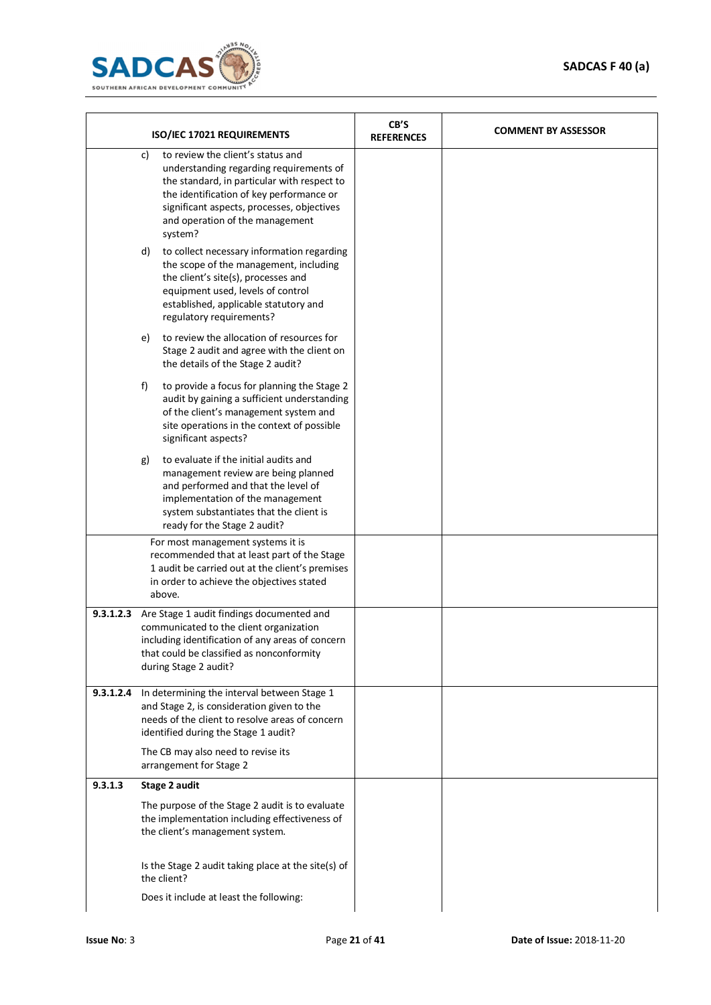

|           | ISO/IEC 17021 REQUIREMENTS                                                                                                                                                                                                                                                |  | <b>COMMENT BY ASSESSOR</b> |
|-----------|---------------------------------------------------------------------------------------------------------------------------------------------------------------------------------------------------------------------------------------------------------------------------|--|----------------------------|
|           | to review the client's status and<br>c)<br>understanding regarding requirements of<br>the standard, in particular with respect to<br>the identification of key performance or<br>significant aspects, processes, objectives<br>and operation of the management<br>system? |  |                            |
|           | to collect necessary information regarding<br>d)<br>the scope of the management, including<br>the client's site(s), processes and<br>equipment used, levels of control<br>established, applicable statutory and<br>regulatory requirements?                               |  |                            |
|           | to review the allocation of resources for<br>e)<br>Stage 2 audit and agree with the client on<br>the details of the Stage 2 audit?                                                                                                                                        |  |                            |
|           | to provide a focus for planning the Stage 2<br>f)<br>audit by gaining a sufficient understanding<br>of the client's management system and<br>site operations in the context of possible<br>significant aspects?                                                           |  |                            |
|           | to evaluate if the initial audits and<br>g)<br>management review are being planned<br>and performed and that the level of<br>implementation of the management<br>system substantiates that the client is<br>ready for the Stage 2 audit?                                  |  |                            |
|           | For most management systems it is<br>recommended that at least part of the Stage<br>1 audit be carried out at the client's premises<br>in order to achieve the objectives stated<br>above.                                                                                |  |                            |
| 9.3.1.2.3 | Are Stage 1 audit findings documented and<br>communicated to the client organization<br>including identification of any areas of concern<br>that could be classified as nonconformity<br>during Stage 2 audit?                                                            |  |                            |
| 9.3.1.2.4 | In determining the interval between Stage 1<br>and Stage 2, is consideration given to the<br>needs of the client to resolve areas of concern<br>identified during the Stage 1 audit?                                                                                      |  |                            |
|           | The CB may also need to revise its<br>arrangement for Stage 2                                                                                                                                                                                                             |  |                            |
| 9.3.1.3   | <b>Stage 2 audit</b>                                                                                                                                                                                                                                                      |  |                            |
|           | The purpose of the Stage 2 audit is to evaluate<br>the implementation including effectiveness of<br>the client's management system.                                                                                                                                       |  |                            |
|           | Is the Stage 2 audit taking place at the site(s) of<br>the client?                                                                                                                                                                                                        |  |                            |
|           | Does it include at least the following:                                                                                                                                                                                                                                   |  |                            |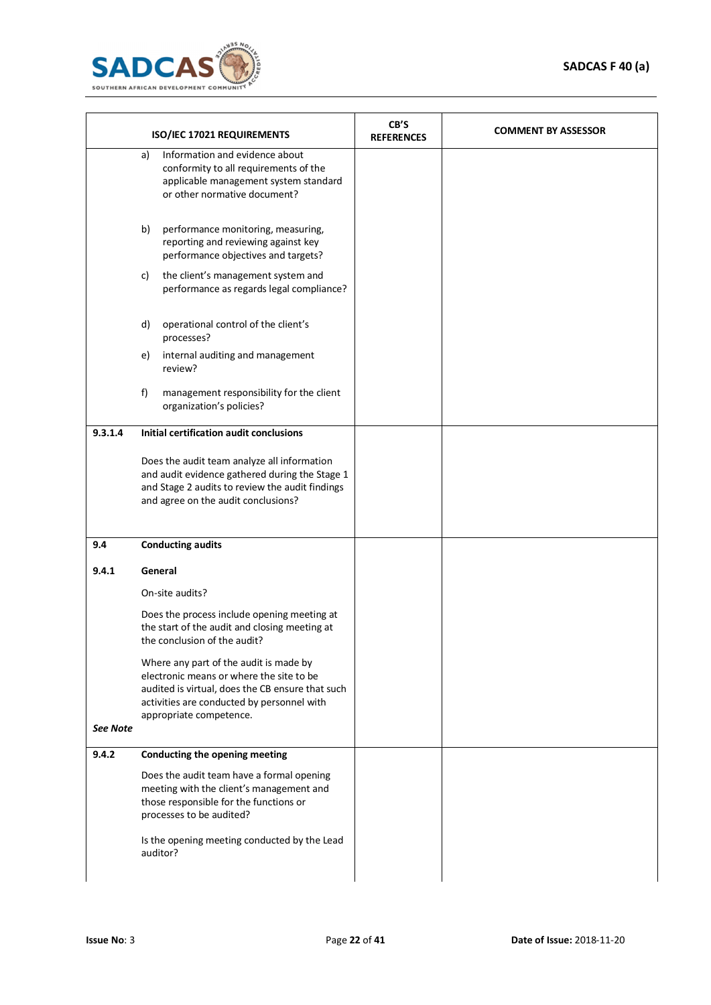

|          |    | ISO/IEC 17021 REQUIREMENTS                                                                                                                                                                                      | CB'S<br><b>REFERENCES</b> | <b>COMMENT BY ASSESSOR</b> |
|----------|----|-----------------------------------------------------------------------------------------------------------------------------------------------------------------------------------------------------------------|---------------------------|----------------------------|
|          | a) | Information and evidence about<br>conformity to all requirements of the<br>applicable management system standard<br>or other normative document?                                                                |                           |                            |
|          | b) | performance monitoring, measuring,<br>reporting and reviewing against key<br>performance objectives and targets?                                                                                                |                           |                            |
|          | C) | the client's management system and<br>performance as regards legal compliance?                                                                                                                                  |                           |                            |
|          | d) | operational control of the client's<br>processes?                                                                                                                                                               |                           |                            |
|          | e) | internal auditing and management<br>review?                                                                                                                                                                     |                           |                            |
|          | f) | management responsibility for the client<br>organization's policies?                                                                                                                                            |                           |                            |
| 9.3.1.4  |    | Initial certification audit conclusions                                                                                                                                                                         |                           |                            |
|          |    | Does the audit team analyze all information<br>and audit evidence gathered during the Stage 1<br>and Stage 2 audits to review the audit findings<br>and agree on the audit conclusions?                         |                           |                            |
| 9.4      |    | <b>Conducting audits</b>                                                                                                                                                                                        |                           |                            |
| 9.4.1    |    | General                                                                                                                                                                                                         |                           |                            |
|          |    | On-site audits?                                                                                                                                                                                                 |                           |                            |
|          |    | Does the process include opening meeting at<br>the start of the audit and closing meeting at<br>the conclusion of the audit?                                                                                    |                           |                            |
|          |    | Where any part of the audit is made by<br>electronic means or where the site to be<br>audited is virtual, does the CB ensure that such<br>activities are conducted by personnel with<br>appropriate competence. |                           |                            |
| See Note |    |                                                                                                                                                                                                                 |                           |                            |
| 9.4.2    |    | Conducting the opening meeting                                                                                                                                                                                  |                           |                            |
|          |    | Does the audit team have a formal opening<br>meeting with the client's management and<br>those responsible for the functions or<br>processes to be audited?                                                     |                           |                            |
|          |    | Is the opening meeting conducted by the Lead<br>auditor?                                                                                                                                                        |                           |                            |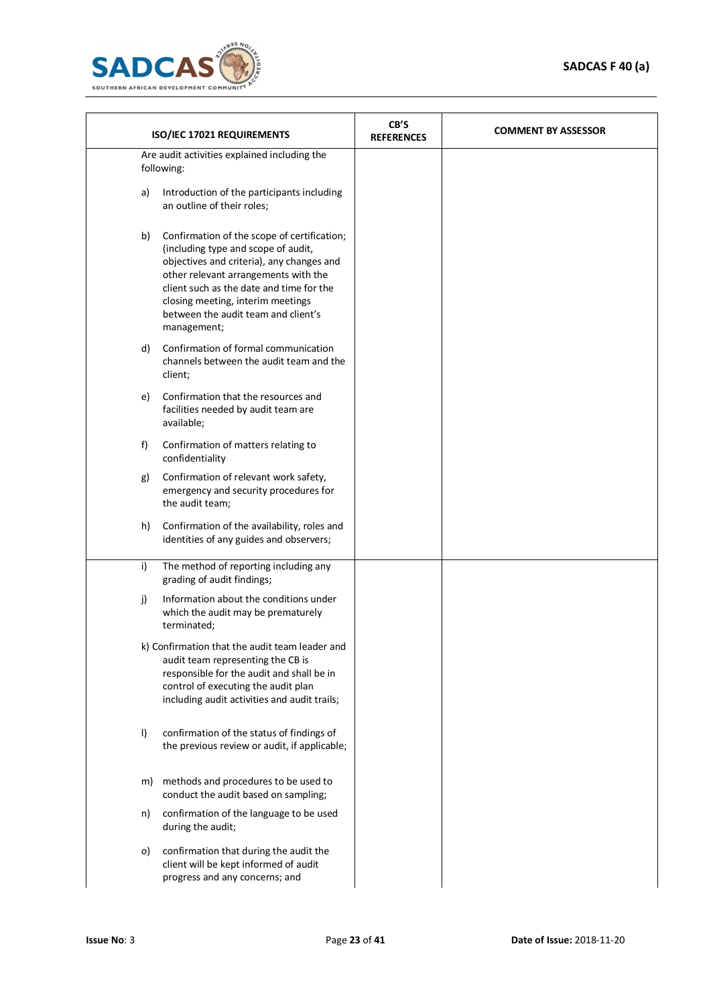

| ISO/IEC 17021 REQUIREMENTS                                                                                                                                                                                                                                                                                           | CB'S<br><b>REFERENCES</b> | <b>COMMENT BY ASSESSOR</b> |
|----------------------------------------------------------------------------------------------------------------------------------------------------------------------------------------------------------------------------------------------------------------------------------------------------------------------|---------------------------|----------------------------|
| Are audit activities explained including the<br>following:                                                                                                                                                                                                                                                           |                           |                            |
| Introduction of the participants including<br>a)<br>an outline of their roles;                                                                                                                                                                                                                                       |                           |                            |
| Confirmation of the scope of certification;<br>b)<br>(including type and scope of audit,<br>objectives and criteria), any changes and<br>other relevant arrangements with the<br>client such as the date and time for the<br>closing meeting, interim meetings<br>between the audit team and client's<br>management; |                           |                            |
| Confirmation of formal communication<br>d)<br>channels between the audit team and the<br>client;                                                                                                                                                                                                                     |                           |                            |
| Confirmation that the resources and<br>e)<br>facilities needed by audit team are<br>available;                                                                                                                                                                                                                       |                           |                            |
| f)<br>Confirmation of matters relating to<br>confidentiality                                                                                                                                                                                                                                                         |                           |                            |
| Confirmation of relevant work safety,<br>g)<br>emergency and security procedures for<br>the audit team;                                                                                                                                                                                                              |                           |                            |
| Confirmation of the availability, roles and<br>h)<br>identities of any guides and observers;                                                                                                                                                                                                                         |                           |                            |
| i)<br>The method of reporting including any<br>grading of audit findings;                                                                                                                                                                                                                                            |                           |                            |
| Information about the conditions under<br>j)<br>which the audit may be prematurely<br>terminated;                                                                                                                                                                                                                    |                           |                            |
| k) Confirmation that the audit team leader and<br>audit team representing the CB is<br>responsible for the audit and shall be in<br>control of executing the audit plan<br>including audit activities and audit trails;                                                                                              |                           |                            |
| confirmation of the status of findings of<br>$\vert$<br>the previous review or audit, if applicable;                                                                                                                                                                                                                 |                           |                            |
| methods and procedures to be used to<br>m)<br>conduct the audit based on sampling;                                                                                                                                                                                                                                   |                           |                            |
| confirmation of the language to be used<br>n)<br>during the audit;                                                                                                                                                                                                                                                   |                           |                            |
| confirmation that during the audit the<br>O)<br>client will be kept informed of audit<br>progress and any concerns; and                                                                                                                                                                                              |                           |                            |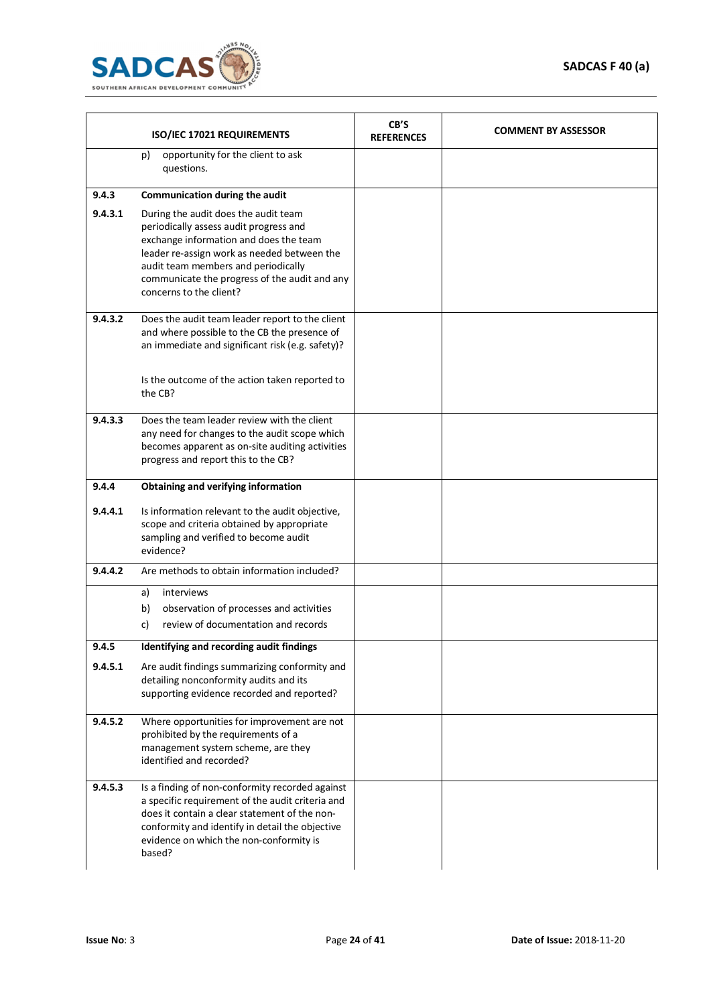

|         | ISO/IEC 17021 REQUIREMENTS                                                                                                                                                                                                                                                                 | CB'S<br><b>REFERENCES</b> | <b>COMMENT BY ASSESSOR</b> |
|---------|--------------------------------------------------------------------------------------------------------------------------------------------------------------------------------------------------------------------------------------------------------------------------------------------|---------------------------|----------------------------|
|         | opportunity for the client to ask<br>p)<br>questions.                                                                                                                                                                                                                                      |                           |                            |
| 9.4.3   | Communication during the audit                                                                                                                                                                                                                                                             |                           |                            |
| 9.4.3.1 | During the audit does the audit team<br>periodically assess audit progress and<br>exchange information and does the team<br>leader re-assign work as needed between the<br>audit team members and periodically<br>communicate the progress of the audit and any<br>concerns to the client? |                           |                            |
| 9.4.3.2 | Does the audit team leader report to the client<br>and where possible to the CB the presence of<br>an immediate and significant risk (e.g. safety)?<br>Is the outcome of the action taken reported to                                                                                      |                           |                            |
|         | the CB?                                                                                                                                                                                                                                                                                    |                           |                            |
| 9.4.3.3 | Does the team leader review with the client<br>any need for changes to the audit scope which<br>becomes apparent as on-site auditing activities<br>progress and report this to the CB?                                                                                                     |                           |                            |
| 9.4.4   | Obtaining and verifying information                                                                                                                                                                                                                                                        |                           |                            |
| 9.4.4.1 | Is information relevant to the audit objective,<br>scope and criteria obtained by appropriate<br>sampling and verified to become audit<br>evidence?                                                                                                                                        |                           |                            |
| 9.4.4.2 | Are methods to obtain information included?                                                                                                                                                                                                                                                |                           |                            |
|         | interviews<br>a)<br>observation of processes and activities<br>b)<br>review of documentation and records<br>c)                                                                                                                                                                             |                           |                            |
| 9.4.5   | Identifying and recording audit findings                                                                                                                                                                                                                                                   |                           |                            |
| 9.4.5.1 | Are audit findings summarizing conformity and<br>detailing nonconformity audits and its<br>supporting evidence recorded and reported?                                                                                                                                                      |                           |                            |
| 9.4.5.2 | Where opportunities for improvement are not<br>prohibited by the requirements of a<br>management system scheme, are they<br>identified and recorded?                                                                                                                                       |                           |                            |
| 9.4.5.3 | Is a finding of non-conformity recorded against<br>a specific requirement of the audit criteria and<br>does it contain a clear statement of the non-<br>conformity and identify in detail the objective<br>evidence on which the non-conformity is<br>based?                               |                           |                            |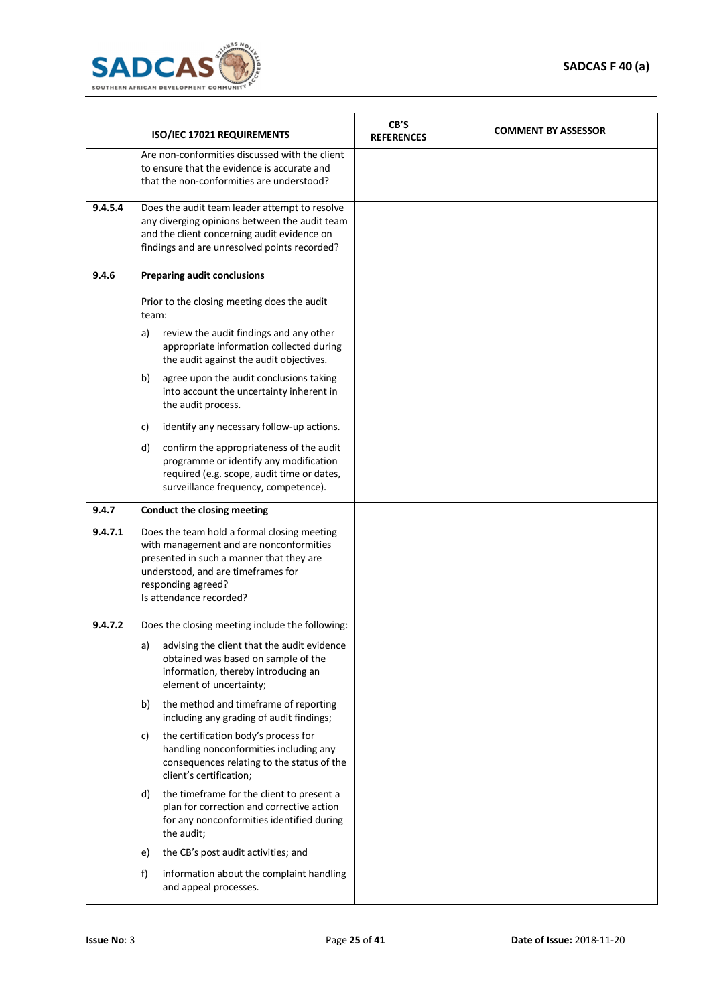

|         |       | ISO/IEC 17021 REQUIREMENTS                                                                                                                                                                                                | CB'S<br><b>REFERENCES</b> | <b>COMMENT BY ASSESSOR</b> |
|---------|-------|---------------------------------------------------------------------------------------------------------------------------------------------------------------------------------------------------------------------------|---------------------------|----------------------------|
|         |       | Are non-conformities discussed with the client<br>to ensure that the evidence is accurate and<br>that the non-conformities are understood?                                                                                |                           |                            |
| 9.4.5.4 |       | Does the audit team leader attempt to resolve<br>any diverging opinions between the audit team<br>and the client concerning audit evidence on<br>findings and are unresolved points recorded?                             |                           |                            |
| 9.4.6   |       | <b>Preparing audit conclusions</b>                                                                                                                                                                                        |                           |                            |
|         | team: | Prior to the closing meeting does the audit                                                                                                                                                                               |                           |                            |
|         | a)    | review the audit findings and any other<br>appropriate information collected during<br>the audit against the audit objectives.                                                                                            |                           |                            |
|         | b)    | agree upon the audit conclusions taking<br>into account the uncertainty inherent in<br>the audit process.                                                                                                                 |                           |                            |
|         | C)    | identify any necessary follow-up actions.                                                                                                                                                                                 |                           |                            |
|         | d)    | confirm the appropriateness of the audit<br>programme or identify any modification<br>required (e.g. scope, audit time or dates,<br>surveillance frequency, competence).                                                  |                           |                            |
| 9.4.7   |       | Conduct the closing meeting                                                                                                                                                                                               |                           |                            |
| 9.4.7.1 |       | Does the team hold a formal closing meeting<br>with management and are nonconformities<br>presented in such a manner that they are<br>understood, and are timeframes for<br>responding agreed?<br>Is attendance recorded? |                           |                            |
| 9.4.7.2 |       | Does the closing meeting include the following:                                                                                                                                                                           |                           |                            |
|         | a)    | advising the client that the audit evidence<br>obtained was based on sample of the<br>information, thereby introducing an<br>element of uncertainty;                                                                      |                           |                            |
|         | b)    | the method and timeframe of reporting<br>including any grading of audit findings;                                                                                                                                         |                           |                            |
|         | C)    | the certification body's process for<br>handling nonconformities including any<br>consequences relating to the status of the<br>client's certification;                                                                   |                           |                            |
|         | d)    | the timeframe for the client to present a<br>plan for correction and corrective action<br>for any nonconformities identified during<br>the audit;                                                                         |                           |                            |
|         | e)    | the CB's post audit activities; and                                                                                                                                                                                       |                           |                            |
|         | f)    | information about the complaint handling<br>and appeal processes.                                                                                                                                                         |                           |                            |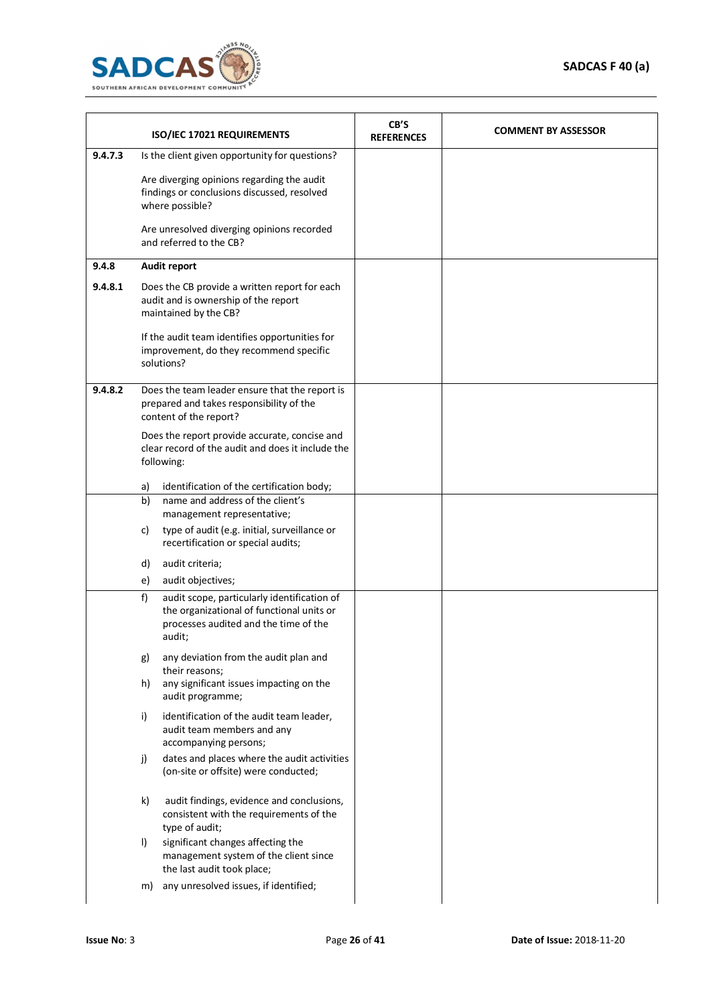

|         |         | ISO/IEC 17021 REQUIREMENTS                                                                                                                  | CB'S<br><b>REFERENCES</b> | <b>COMMENT BY ASSESSOR</b> |
|---------|---------|---------------------------------------------------------------------------------------------------------------------------------------------|---------------------------|----------------------------|
| 9.4.7.3 |         | Is the client given opportunity for questions?                                                                                              |                           |                            |
|         |         | Are diverging opinions regarding the audit<br>findings or conclusions discussed, resolved<br>where possible?                                |                           |                            |
|         |         | Are unresolved diverging opinions recorded<br>and referred to the CB?                                                                       |                           |                            |
| 9.4.8   |         | Audit report                                                                                                                                |                           |                            |
| 9.4.8.1 |         | Does the CB provide a written report for each<br>audit and is ownership of the report<br>maintained by the CB?                              |                           |                            |
|         |         | If the audit team identifies opportunities for<br>improvement, do they recommend specific<br>solutions?                                     |                           |                            |
| 9.4.8.2 |         | Does the team leader ensure that the report is<br>prepared and takes responsibility of the<br>content of the report?                        |                           |                            |
|         |         | Does the report provide accurate, concise and<br>clear record of the audit and does it include the<br>following:                            |                           |                            |
|         | a)      | identification of the certification body;                                                                                                   |                           |                            |
|         | b)      | name and address of the client's<br>management representative;                                                                              |                           |                            |
|         | c)      | type of audit (e.g. initial, surveillance or<br>recertification or special audits;                                                          |                           |                            |
|         | d)      | audit criteria;                                                                                                                             |                           |                            |
|         | e)      | audit objectives;                                                                                                                           |                           |                            |
|         | f)      | audit scope, particularly identification of<br>the organizational of functional units or<br>processes audited and the time of the<br>audit; |                           |                            |
|         | g)      | any deviation from the audit plan and                                                                                                       |                           |                            |
|         | h)      | their reasons;<br>any significant issues impacting on the<br>audit programme;                                                               |                           |                            |
|         | i)      | identification of the audit team leader,<br>audit team members and any<br>accompanying persons;                                             |                           |                            |
|         | j)      | dates and places where the audit activities<br>(on-site or offsite) were conducted;                                                         |                           |                            |
|         | k)      | audit findings, evidence and conclusions,<br>consistent with the requirements of the<br>type of audit;                                      |                           |                            |
|         | $\vert$ | significant changes affecting the<br>management system of the client since<br>the last audit took place;                                    |                           |                            |
|         | m)      | any unresolved issues, if identified;                                                                                                       |                           |                            |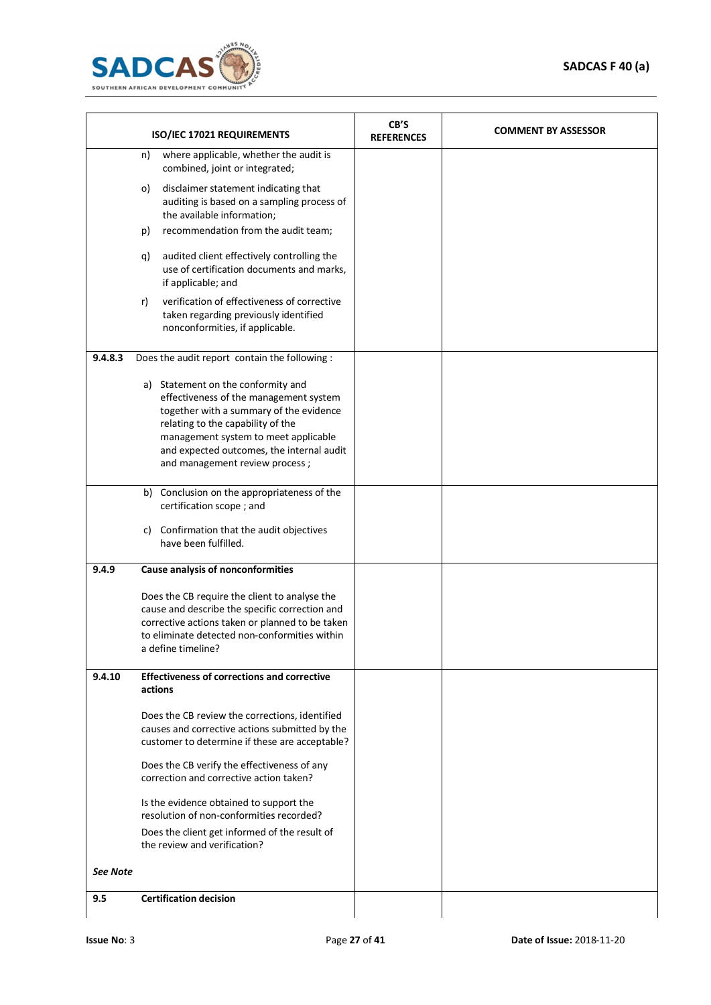

|                 | ISO/IEC 17021 REQUIREMENTS                                                                                                                                                                                                                                                          | CB'S<br><b>REFERENCES</b> | <b>COMMENT BY ASSESSOR</b> |
|-----------------|-------------------------------------------------------------------------------------------------------------------------------------------------------------------------------------------------------------------------------------------------------------------------------------|---------------------------|----------------------------|
|                 | where applicable, whether the audit is<br>n)<br>combined, joint or integrated;                                                                                                                                                                                                      |                           |                            |
|                 | disclaimer statement indicating that<br>o)<br>auditing is based on a sampling process of<br>the available information;                                                                                                                                                              |                           |                            |
|                 | recommendation from the audit team;<br>p)                                                                                                                                                                                                                                           |                           |                            |
|                 | audited client effectively controlling the<br>q)<br>use of certification documents and marks,<br>if applicable; and                                                                                                                                                                 |                           |                            |
|                 | verification of effectiveness of corrective<br>r)<br>taken regarding previously identified<br>nonconformities, if applicable.                                                                                                                                                       |                           |                            |
| 9.4.8.3         | Does the audit report contain the following :                                                                                                                                                                                                                                       |                           |                            |
|                 | a) Statement on the conformity and<br>effectiveness of the management system<br>together with a summary of the evidence<br>relating to the capability of the<br>management system to meet applicable<br>and expected outcomes, the internal audit<br>and management review process; |                           |                            |
|                 | b) Conclusion on the appropriateness of the<br>certification scope; and                                                                                                                                                                                                             |                           |                            |
|                 | c) Confirmation that the audit objectives<br>have been fulfilled.                                                                                                                                                                                                                   |                           |                            |
| 9.4.9           | Cause analysis of nonconformities                                                                                                                                                                                                                                                   |                           |                            |
|                 | Does the CB require the client to analyse the<br>cause and describe the specific correction and<br>corrective actions taken or planned to be taken<br>to eliminate detected non-conformities within<br>a define timeline?                                                           |                           |                            |
| 9.4.10          | <b>Effectiveness of corrections and corrective</b><br>actions                                                                                                                                                                                                                       |                           |                            |
|                 | Does the CB review the corrections, identified<br>causes and corrective actions submitted by the<br>customer to determine if these are acceptable?                                                                                                                                  |                           |                            |
|                 | Does the CB verify the effectiveness of any<br>correction and corrective action taken?                                                                                                                                                                                              |                           |                            |
|                 | Is the evidence obtained to support the<br>resolution of non-conformities recorded?                                                                                                                                                                                                 |                           |                            |
|                 | Does the client get informed of the result of<br>the review and verification?                                                                                                                                                                                                       |                           |                            |
| <b>See Note</b> |                                                                                                                                                                                                                                                                                     |                           |                            |
| 9.5             | <b>Certification decision</b>                                                                                                                                                                                                                                                       |                           |                            |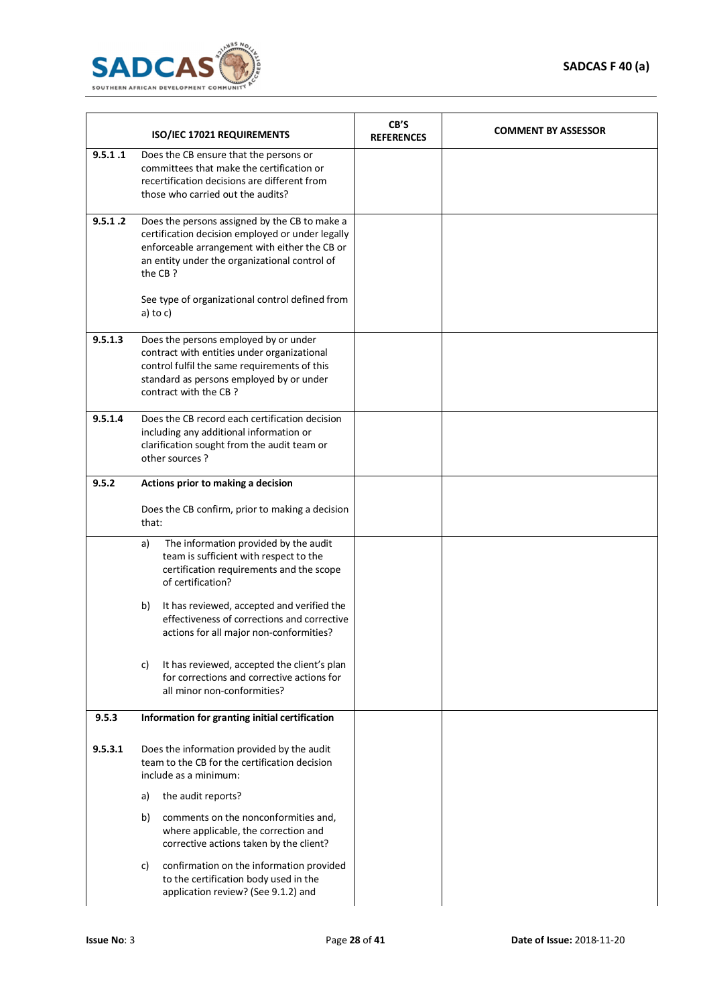

|         | ISO/IEC 17021 REQUIREMENTS                                                                                                                                                                                                                                        | CB'S<br><b>REFERENCES</b> | <b>COMMENT BY ASSESSOR</b> |
|---------|-------------------------------------------------------------------------------------------------------------------------------------------------------------------------------------------------------------------------------------------------------------------|---------------------------|----------------------------|
| 9.5.1.1 | Does the CB ensure that the persons or<br>committees that make the certification or<br>recertification decisions are different from<br>those who carried out the audits?                                                                                          |                           |                            |
| 9.5.1.2 | Does the persons assigned by the CB to make a<br>certification decision employed or under legally<br>enforceable arrangement with either the CB or<br>an entity under the organizational control of<br>the CB?<br>See type of organizational control defined from |                           |                            |
|         | a) to $c$ )                                                                                                                                                                                                                                                       |                           |                            |
| 9.5.1.3 | Does the persons employed by or under<br>contract with entities under organizational<br>control fulfil the same requirements of this<br>standard as persons employed by or under<br>contract with the CB?                                                         |                           |                            |
| 9.5.1.4 | Does the CB record each certification decision<br>including any additional information or<br>clarification sought from the audit team or<br>other sources?                                                                                                        |                           |                            |
| 9.5.2   | Actions prior to making a decision                                                                                                                                                                                                                                |                           |                            |
|         | Does the CB confirm, prior to making a decision<br>that:                                                                                                                                                                                                          |                           |                            |
|         | The information provided by the audit<br>a)<br>team is sufficient with respect to the<br>certification requirements and the scope<br>of certification?                                                                                                            |                           |                            |
|         | It has reviewed, accepted and verified the<br>b)<br>effectiveness of corrections and corrective<br>actions for all major non-conformities?                                                                                                                        |                           |                            |
|         | It has reviewed, accepted the client's plan<br>C)<br>for corrections and corrective actions for<br>all minor non-conformities?                                                                                                                                    |                           |                            |
| 9.5.3   | Information for granting initial certification                                                                                                                                                                                                                    |                           |                            |
| 9.5.3.1 | Does the information provided by the audit<br>team to the CB for the certification decision<br>include as a minimum:                                                                                                                                              |                           |                            |
|         | the audit reports?<br>a)                                                                                                                                                                                                                                          |                           |                            |
|         | comments on the nonconformities and,<br>b)<br>where applicable, the correction and<br>corrective actions taken by the client?                                                                                                                                     |                           |                            |
|         | confirmation on the information provided<br>C)<br>to the certification body used in the<br>application review? (See 9.1.2) and                                                                                                                                    |                           |                            |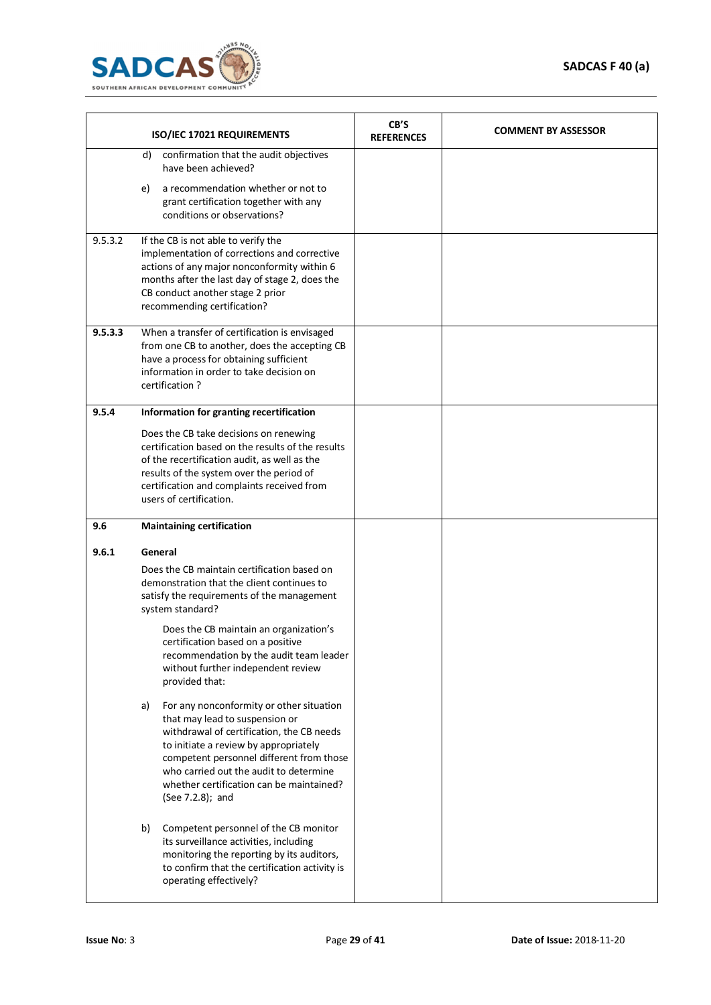

|         | ISO/IEC 17021 REQUIREMENTS                                                                                                                                                                                                                                                                                                   | CB'S<br><b>REFERENCES</b> | <b>COMMENT BY ASSESSOR</b> |
|---------|------------------------------------------------------------------------------------------------------------------------------------------------------------------------------------------------------------------------------------------------------------------------------------------------------------------------------|---------------------------|----------------------------|
|         | confirmation that the audit objectives<br>d)<br>have been achieved?                                                                                                                                                                                                                                                          |                           |                            |
|         | a recommendation whether or not to<br>e)<br>grant certification together with any<br>conditions or observations?                                                                                                                                                                                                             |                           |                            |
| 9.5.3.2 | If the CB is not able to verify the<br>implementation of corrections and corrective<br>actions of any major nonconformity within 6<br>months after the last day of stage 2, does the<br>CB conduct another stage 2 prior<br>recommending certification?                                                                      |                           |                            |
| 9.5.3.3 | When a transfer of certification is envisaged<br>from one CB to another, does the accepting CB<br>have a process for obtaining sufficient<br>information in order to take decision on<br>certification?                                                                                                                      |                           |                            |
| 9.5.4   | Information for granting recertification                                                                                                                                                                                                                                                                                     |                           |                            |
|         | Does the CB take decisions on renewing<br>certification based on the results of the results<br>of the recertification audit, as well as the<br>results of the system over the period of<br>certification and complaints received from<br>users of certification.                                                             |                           |                            |
| 9.6     | <b>Maintaining certification</b>                                                                                                                                                                                                                                                                                             |                           |                            |
| 9.6.1   | General                                                                                                                                                                                                                                                                                                                      |                           |                            |
|         | Does the CB maintain certification based on<br>demonstration that the client continues to<br>satisfy the requirements of the management<br>system standard?                                                                                                                                                                  |                           |                            |
|         | Does the CB maintain an organization's<br>certification based on a positive<br>recommendation by the audit team leader<br>without further independent review<br>provided that:                                                                                                                                               |                           |                            |
|         | For any nonconformity or other situation<br>a)<br>that may lead to suspension or<br>withdrawal of certification, the CB needs<br>to initiate a review by appropriately<br>competent personnel different from those<br>who carried out the audit to determine<br>whether certification can be maintained?<br>(See 7.2.8); and |                           |                            |
|         | Competent personnel of the CB monitor<br>b)<br>its surveillance activities, including<br>monitoring the reporting by its auditors,<br>to confirm that the certification activity is<br>operating effectively?                                                                                                                |                           |                            |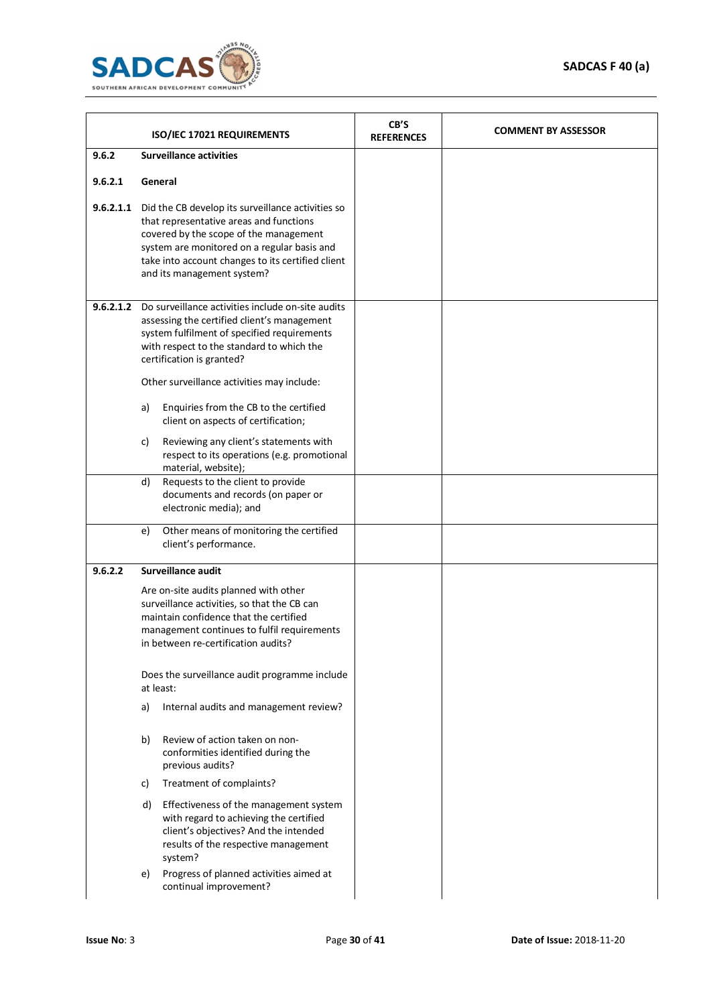

|           | ISO/IEC 17021 REQUIREMENTS                                                                                                                                                                                                                                                         | CB'S<br><b>REFERENCES</b> | <b>COMMENT BY ASSESSOR</b> |
|-----------|------------------------------------------------------------------------------------------------------------------------------------------------------------------------------------------------------------------------------------------------------------------------------------|---------------------------|----------------------------|
| 9.6.2     | <b>Surveillance activities</b>                                                                                                                                                                                                                                                     |                           |                            |
| 9.6.2.1   | General                                                                                                                                                                                                                                                                            |                           |                            |
|           | 9.6.2.1.1 Did the CB develop its surveillance activities so<br>that representative areas and functions<br>covered by the scope of the management<br>system are monitored on a regular basis and<br>take into account changes to its certified client<br>and its management system? |                           |                            |
| 9.6.2.1.2 | Do surveillance activities include on-site audits<br>assessing the certified client's management<br>system fulfilment of specified requirements<br>with respect to the standard to which the<br>certification is granted?                                                          |                           |                            |
|           | Other surveillance activities may include:<br>Enquiries from the CB to the certified<br>a)                                                                                                                                                                                         |                           |                            |
|           | client on aspects of certification;                                                                                                                                                                                                                                                |                           |                            |
|           | Reviewing any client's statements with<br>c)<br>respect to its operations (e.g. promotional<br>material, website);                                                                                                                                                                 |                           |                            |
|           | Requests to the client to provide<br>d)<br>documents and records (on paper or<br>electronic media); and                                                                                                                                                                            |                           |                            |
|           | Other means of monitoring the certified<br>e)<br>client's performance.                                                                                                                                                                                                             |                           |                            |
| 9.6.2.2   | Surveillance audit                                                                                                                                                                                                                                                                 |                           |                            |
|           | Are on-site audits planned with other<br>surveillance activities, so that the CB can<br>maintain confidence that the certified<br>management continues to fulfil requirements<br>in between re-certification audits?                                                               |                           |                            |
|           | Does the surveillance audit programme include<br>at least:                                                                                                                                                                                                                         |                           |                            |
|           | Internal audits and management review?<br>a)                                                                                                                                                                                                                                       |                           |                            |
|           | Review of action taken on non-<br>b)<br>conformities identified during the<br>previous audits?                                                                                                                                                                                     |                           |                            |
|           | Treatment of complaints?<br>c)                                                                                                                                                                                                                                                     |                           |                            |
|           | Effectiveness of the management system<br>d)<br>with regard to achieving the certified<br>client's objectives? And the intended<br>results of the respective management<br>system?                                                                                                 |                           |                            |
|           | Progress of planned activities aimed at<br>e)<br>continual improvement?                                                                                                                                                                                                            |                           |                            |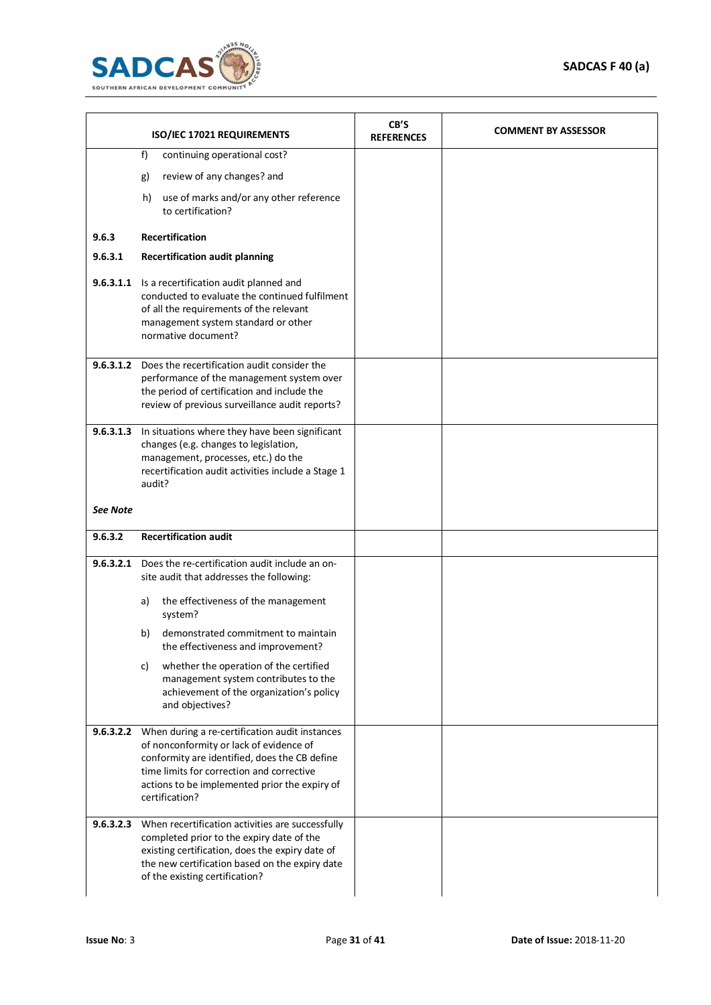

|                 | ISO/IEC 17021 REQUIREMENTS                                                                                                                                                                                                                                 | CB'S<br><b>REFERENCES</b> | <b>COMMENT BY ASSESSOR</b> |
|-----------------|------------------------------------------------------------------------------------------------------------------------------------------------------------------------------------------------------------------------------------------------------------|---------------------------|----------------------------|
|                 | f)<br>continuing operational cost?<br>review of any changes? and<br>g)<br>use of marks and/or any other reference<br>h)<br>to certification?                                                                                                               |                           |                            |
| 9.6.3           | <b>Recertification</b>                                                                                                                                                                                                                                     |                           |                            |
| 9.6.3.1         | <b>Recertification audit planning</b>                                                                                                                                                                                                                      |                           |                            |
| 9.6.3.1.1       | Is a recertification audit planned and<br>conducted to evaluate the continued fulfilment<br>of all the requirements of the relevant<br>management system standard or other<br>normative document?                                                          |                           |                            |
|                 | 9.6.3.1.2 Does the recertification audit consider the<br>performance of the management system over<br>the period of certification and include the<br>review of previous surveillance audit reports?                                                        |                           |                            |
|                 | 9.6.3.1.3 In situations where they have been significant<br>changes (e.g. changes to legislation,<br>management, processes, etc.) do the<br>recertification audit activities include a Stage 1<br>audit?                                                   |                           |                            |
| <b>See Note</b> |                                                                                                                                                                                                                                                            |                           |                            |
| 9.6.3.2         | <b>Recertification audit</b>                                                                                                                                                                                                                               |                           |                            |
|                 | 9.6.3.2.1 Does the re-certification audit include an on-<br>site audit that addresses the following:                                                                                                                                                       |                           |                            |
|                 | the effectiveness of the management<br>a)<br>system?                                                                                                                                                                                                       |                           |                            |
|                 | demonstrated commitment to maintain<br>b)<br>the effectiveness and improvement?                                                                                                                                                                            |                           |                            |
|                 | whether the operation of the certified<br>C)<br>management system contributes to the<br>achievement of the organization's policy<br>and objectives?                                                                                                        |                           |                            |
| 9.6.3.2.2       | When during a re-certification audit instances<br>of nonconformity or lack of evidence of<br>conformity are identified, does the CB define<br>time limits for correction and corrective<br>actions to be implemented prior the expiry of<br>certification? |                           |                            |
|                 | 9.6.3.2.3 When recertification activities are successfully<br>completed prior to the expiry date of the<br>existing certification, does the expiry date of<br>the new certification based on the expiry date<br>of the existing certification?             |                           |                            |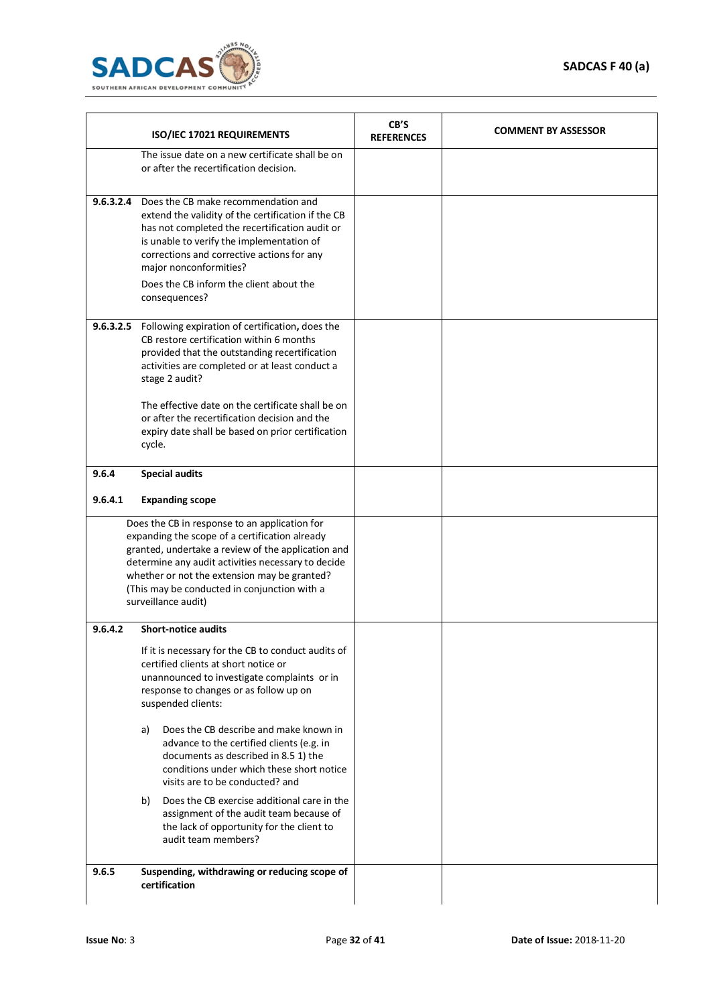

|           | ISO/IEC 17021 REQUIREMENTS                                                                                                                                                                                                                                                                                                                                                                      | CB'S<br><b>REFERENCES</b> | <b>COMMENT BY ASSESSOR</b> |
|-----------|-------------------------------------------------------------------------------------------------------------------------------------------------------------------------------------------------------------------------------------------------------------------------------------------------------------------------------------------------------------------------------------------------|---------------------------|----------------------------|
|           | The issue date on a new certificate shall be on<br>or after the recertification decision.                                                                                                                                                                                                                                                                                                       |                           |                            |
| 9.6.3.2.4 | Does the CB make recommendation and<br>extend the validity of the certification if the CB<br>has not completed the recertification audit or<br>is unable to verify the implementation of<br>corrections and corrective actions for any<br>major nonconformities?<br>Does the CB inform the client about the<br>consequences?                                                                    |                           |                            |
|           | 9.6.3.2.5 Following expiration of certification, does the<br>CB restore certification within 6 months<br>provided that the outstanding recertification<br>activities are completed or at least conduct a<br>stage 2 audit?<br>The effective date on the certificate shall be on<br>or after the recertification decision and the<br>expiry date shall be based on prior certification<br>cycle. |                           |                            |
| 9.6.4     | <b>Special audits</b>                                                                                                                                                                                                                                                                                                                                                                           |                           |                            |
| 9.6.4.1   | <b>Expanding scope</b>                                                                                                                                                                                                                                                                                                                                                                          |                           |                            |
|           | Does the CB in response to an application for<br>expanding the scope of a certification already<br>granted, undertake a review of the application and<br>determine any audit activities necessary to decide<br>whether or not the extension may be granted?<br>(This may be conducted in conjunction with a<br>surveillance audit)                                                              |                           |                            |
| 9.6.4.2   | <b>Short-notice audits</b>                                                                                                                                                                                                                                                                                                                                                                      |                           |                            |
|           | If it is necessary for the CB to conduct audits of<br>certified clients at short notice or<br>unannounced to investigate complaints or in<br>response to changes or as follow up on<br>suspended clients:                                                                                                                                                                                       |                           |                            |
|           | Does the CB describe and make known in<br>a)<br>advance to the certified clients (e.g. in<br>documents as described in 8.5 1) the<br>conditions under which these short notice<br>visits are to be conducted? and                                                                                                                                                                               |                           |                            |
|           | Does the CB exercise additional care in the<br>b)<br>assignment of the audit team because of<br>the lack of opportunity for the client to<br>audit team members?                                                                                                                                                                                                                                |                           |                            |
| 9.6.5     | Suspending, withdrawing or reducing scope of<br>certification                                                                                                                                                                                                                                                                                                                                   |                           |                            |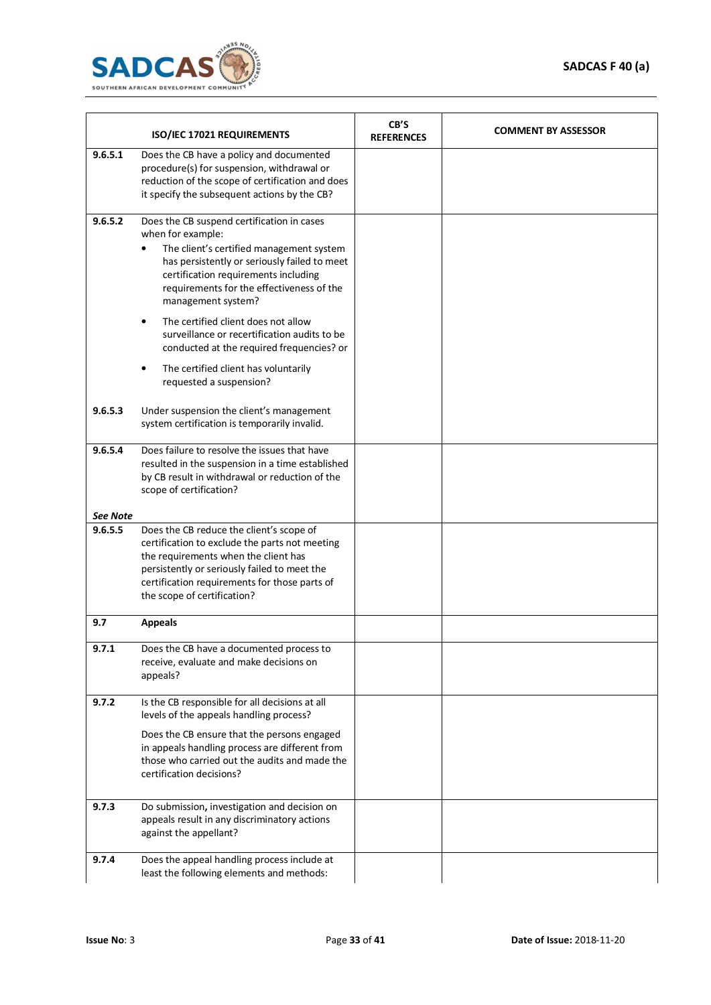

|          | ISO/IEC 17021 REQUIREMENTS                                                                                                                                                                                                                                             | CB'S<br><b>REFERENCES</b> | <b>COMMENT BY ASSESSOR</b> |
|----------|------------------------------------------------------------------------------------------------------------------------------------------------------------------------------------------------------------------------------------------------------------------------|---------------------------|----------------------------|
| 9.6.5.1  | Does the CB have a policy and documented<br>procedure(s) for suspension, withdrawal or<br>reduction of the scope of certification and does<br>it specify the subsequent actions by the CB?                                                                             |                           |                            |
| 9.6.5.2  | Does the CB suspend certification in cases<br>when for example:<br>The client's certified management system<br>has persistently or seriously failed to meet<br>certification requirements including<br>requirements for the effectiveness of the<br>management system? |                           |                            |
|          | The certified client does not allow<br>surveillance or recertification audits to be<br>conducted at the required frequencies? or<br>The certified client has voluntarily<br>requested a suspension?                                                                    |                           |                            |
| 9.6.5.3  | Under suspension the client's management<br>system certification is temporarily invalid.                                                                                                                                                                               |                           |                            |
| 9.6.5.4  | Does failure to resolve the issues that have<br>resulted in the suspension in a time established<br>by CB result in withdrawal or reduction of the<br>scope of certification?                                                                                          |                           |                            |
| See Note |                                                                                                                                                                                                                                                                        |                           |                            |
| 9.6.5.5  | Does the CB reduce the client's scope of<br>certification to exclude the parts not meeting<br>the requirements when the client has<br>persistently or seriously failed to meet the<br>certification requirements for those parts of<br>the scope of certification?     |                           |                            |
| 9.7      | <b>Appeals</b>                                                                                                                                                                                                                                                         |                           |                            |
| 9.7.1    | Does the CB have a documented process to<br>receive, evaluate and make decisions on<br>appeals?                                                                                                                                                                        |                           |                            |
| 9.7.2    | Is the CB responsible for all decisions at all<br>levels of the appeals handling process?                                                                                                                                                                              |                           |                            |
|          | Does the CB ensure that the persons engaged<br>in appeals handling process are different from<br>those who carried out the audits and made the<br>certification decisions?                                                                                             |                           |                            |
| 9.7.3    | Do submission, investigation and decision on<br>appeals result in any discriminatory actions<br>against the appellant?                                                                                                                                                 |                           |                            |
| 9.7.4    | Does the appeal handling process include at<br>least the following elements and methods:                                                                                                                                                                               |                           |                            |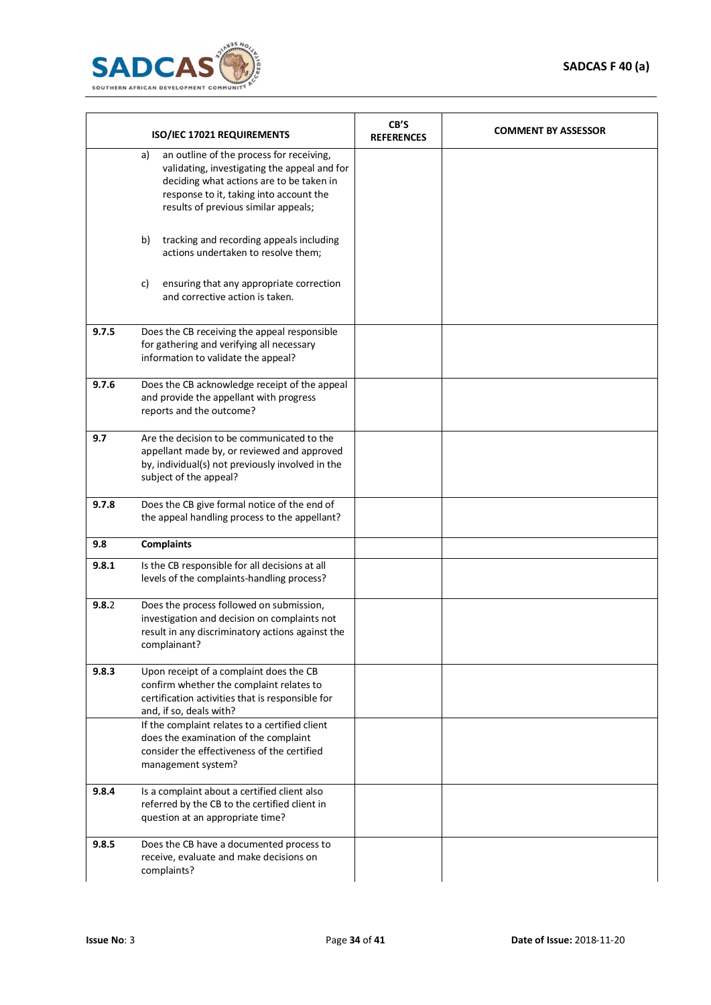

|       | ISO/IEC 17021 REQUIREMENTS                                                                                                                                                                                                    | CB'S<br><b>REFERENCES</b> | <b>COMMENT BY ASSESSOR</b> |
|-------|-------------------------------------------------------------------------------------------------------------------------------------------------------------------------------------------------------------------------------|---------------------------|----------------------------|
|       | an outline of the process for receiving,<br>a)<br>validating, investigating the appeal and for<br>deciding what actions are to be taken in<br>response to it, taking into account the<br>results of previous similar appeals; |                           |                            |
|       | b)<br>tracking and recording appeals including<br>actions undertaken to resolve them;                                                                                                                                         |                           |                            |
|       | c)<br>ensuring that any appropriate correction<br>and corrective action is taken.                                                                                                                                             |                           |                            |
| 9.7.5 | Does the CB receiving the appeal responsible<br>for gathering and verifying all necessary<br>information to validate the appeal?                                                                                              |                           |                            |
| 9.7.6 | Does the CB acknowledge receipt of the appeal<br>and provide the appellant with progress<br>reports and the outcome?                                                                                                          |                           |                            |
| 9.7   | Are the decision to be communicated to the<br>appellant made by, or reviewed and approved<br>by, individual(s) not previously involved in the<br>subject of the appeal?                                                       |                           |                            |
| 9.7.8 | Does the CB give formal notice of the end of<br>the appeal handling process to the appellant?                                                                                                                                 |                           |                            |
| 9.8   | <b>Complaints</b>                                                                                                                                                                                                             |                           |                            |
| 9.8.1 | Is the CB responsible for all decisions at all<br>levels of the complaints-handling process?                                                                                                                                  |                           |                            |
| 9.8.2 | Does the process followed on submission,<br>investigation and decision on complaints not<br>result in any discriminatory actions against the<br>complainant?                                                                  |                           |                            |
| 9.8.3 | Upon receipt of a complaint does the CB<br>confirm whether the complaint relates to<br>certification activities that is responsible for<br>and, if so, deals with?                                                            |                           |                            |
|       | If the complaint relates to a certified client<br>does the examination of the complaint<br>consider the effectiveness of the certified<br>management system?                                                                  |                           |                            |
| 9.8.4 | Is a complaint about a certified client also<br>referred by the CB to the certified client in<br>question at an appropriate time?                                                                                             |                           |                            |
| 9.8.5 | Does the CB have a documented process to<br>receive, evaluate and make decisions on<br>complaints?                                                                                                                            |                           |                            |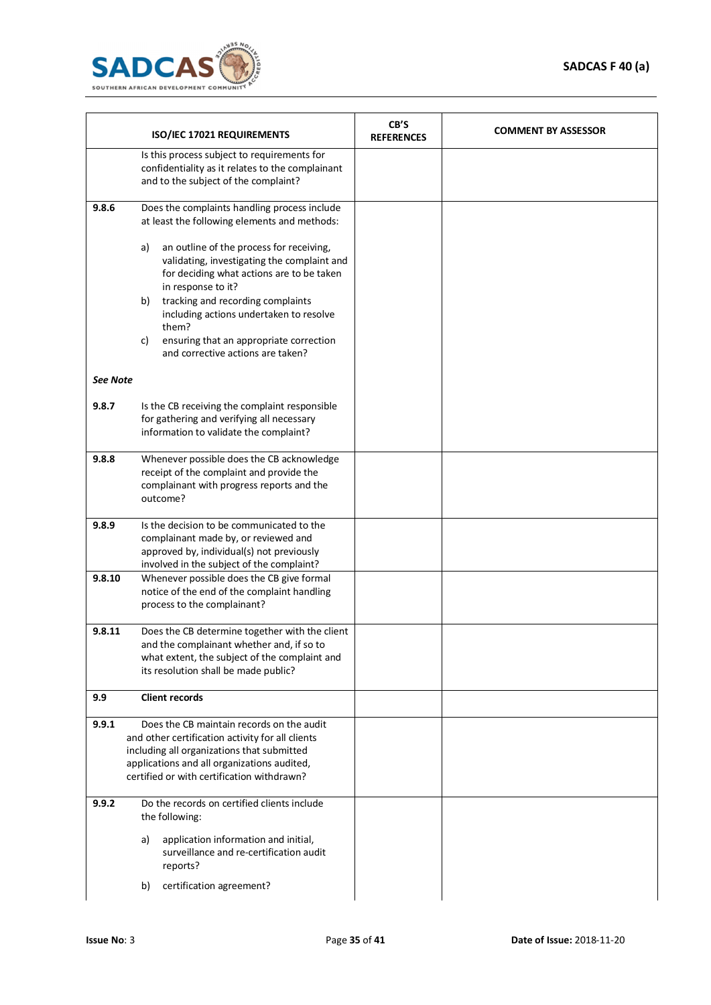

|          | ISO/IEC 17021 REQUIREMENTS                                                                                                                                                                                                               | CB'S<br><b>REFERENCES</b> | <b>COMMENT BY ASSESSOR</b> |
|----------|------------------------------------------------------------------------------------------------------------------------------------------------------------------------------------------------------------------------------------------|---------------------------|----------------------------|
|          | Is this process subject to requirements for<br>confidentiality as it relates to the complainant<br>and to the subject of the complaint?                                                                                                  |                           |                            |
| 9.8.6    | Does the complaints handling process include<br>at least the following elements and methods:                                                                                                                                             |                           |                            |
|          | an outline of the process for receiving,<br>a)<br>validating, investigating the complaint and<br>for deciding what actions are to be taken<br>in response to it?                                                                         |                           |                            |
|          | tracking and recording complaints<br>b)<br>including actions undertaken to resolve<br>them?                                                                                                                                              |                           |                            |
|          | c)<br>ensuring that an appropriate correction<br>and corrective actions are taken?                                                                                                                                                       |                           |                            |
| See Note |                                                                                                                                                                                                                                          |                           |                            |
| 9.8.7    | Is the CB receiving the complaint responsible<br>for gathering and verifying all necessary<br>information to validate the complaint?                                                                                                     |                           |                            |
| 9.8.8    | Whenever possible does the CB acknowledge<br>receipt of the complaint and provide the<br>complainant with progress reports and the<br>outcome?                                                                                           |                           |                            |
| 9.8.9    | Is the decision to be communicated to the<br>complainant made by, or reviewed and<br>approved by, individual(s) not previously<br>involved in the subject of the complaint?                                                              |                           |                            |
| 9.8.10   | Whenever possible does the CB give formal<br>notice of the end of the complaint handling<br>process to the complainant?                                                                                                                  |                           |                            |
| 9.8.11   | Does the CB determine together with the client<br>and the complainant whether and, if so to<br>what extent, the subject of the complaint and<br>its resolution shall be made public?                                                     |                           |                            |
| 9.9      | <b>Client records</b>                                                                                                                                                                                                                    |                           |                            |
| 9.9.1    | Does the CB maintain records on the audit<br>and other certification activity for all clients<br>including all organizations that submitted<br>applications and all organizations audited,<br>certified or with certification withdrawn? |                           |                            |
| 9.9.2    | Do the records on certified clients include<br>the following:                                                                                                                                                                            |                           |                            |
|          | application information and initial,<br>a)<br>surveillance and re-certification audit<br>reports?                                                                                                                                        |                           |                            |
|          | certification agreement?<br>b)                                                                                                                                                                                                           |                           |                            |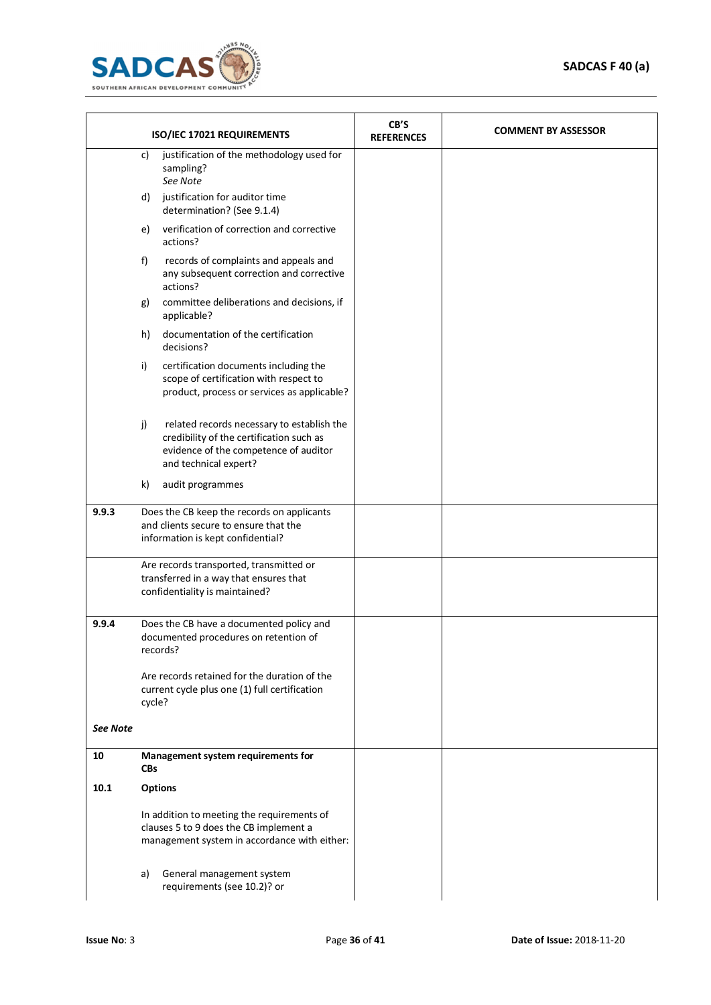

|                 | ISO/IEC 17021 REQUIREMENTS                                                                                                                                                                                                                      |                                                                                                                                                          | CB'S<br><b>REFERENCES</b> | <b>COMMENT BY ASSESSOR</b> |
|-----------------|-------------------------------------------------------------------------------------------------------------------------------------------------------------------------------------------------------------------------------------------------|----------------------------------------------------------------------------------------------------------------------------------------------------------|---------------------------|----------------------------|
|                 | justification of the methodology used for<br>C)<br>sampling?<br>See Note                                                                                                                                                                        |                                                                                                                                                          |                           |                            |
|                 | d)                                                                                                                                                                                                                                              | justification for auditor time<br>determination? (See 9.1.4)                                                                                             |                           |                            |
|                 | e)                                                                                                                                                                                                                                              | verification of correction and corrective<br>actions?                                                                                                    |                           |                            |
|                 | f)                                                                                                                                                                                                                                              | records of complaints and appeals and<br>any subsequent correction and corrective<br>actions?                                                            |                           |                            |
|                 | committee deliberations and decisions, if<br>g)<br>applicable?<br>documentation of the certification<br>h)<br>decisions?                                                                                                                        |                                                                                                                                                          |                           |                            |
|                 |                                                                                                                                                                                                                                                 |                                                                                                                                                          |                           |                            |
|                 | i)                                                                                                                                                                                                                                              | certification documents including the<br>scope of certification with respect to<br>product, process or services as applicable?                           |                           |                            |
|                 | j)                                                                                                                                                                                                                                              | related records necessary to establish the<br>credibility of the certification such as<br>evidence of the competence of auditor<br>and technical expert? |                           |                            |
|                 | k)                                                                                                                                                                                                                                              | audit programmes                                                                                                                                         |                           |                            |
| 9.9.3           | Does the CB keep the records on applicants<br>and clients secure to ensure that the<br>information is kept confidential?<br>Are records transported, transmitted or<br>transferred in a way that ensures that<br>confidentiality is maintained? |                                                                                                                                                          |                           |                            |
|                 |                                                                                                                                                                                                                                                 |                                                                                                                                                          |                           |                            |
| 9.9.4           |                                                                                                                                                                                                                                                 | Does the CB have a documented policy and<br>documented procedures on retention of<br>records?                                                            |                           |                            |
|                 | Are records retained for the duration of the<br>current cycle plus one (1) full certification<br>cycle?                                                                                                                                         |                                                                                                                                                          |                           |                            |
| <b>See Note</b> |                                                                                                                                                                                                                                                 |                                                                                                                                                          |                           |                            |
| 10              | <b>CBs</b>                                                                                                                                                                                                                                      | Management system requirements for                                                                                                                       |                           |                            |
| 10.1            |                                                                                                                                                                                                                                                 | <b>Options</b>                                                                                                                                           |                           |                            |
|                 | In addition to meeting the requirements of<br>clauses 5 to 9 does the CB implement a<br>management system in accordance with either:                                                                                                            |                                                                                                                                                          |                           |                            |
|                 | a)                                                                                                                                                                                                                                              | General management system<br>requirements (see 10.2)? or                                                                                                 |                           |                            |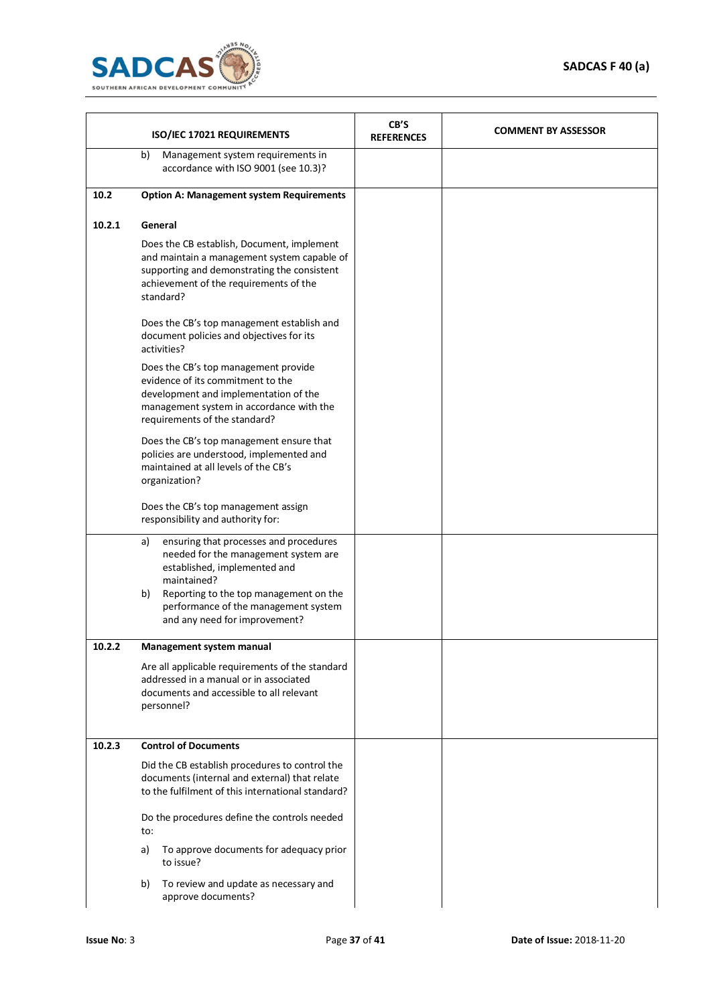

|        | ISO/IEC 17021 REQUIREMENTS                                                                                                                                                                                                                                   | CB'S<br><b>REFERENCES</b> | <b>COMMENT BY ASSESSOR</b> |  |  |
|--------|--------------------------------------------------------------------------------------------------------------------------------------------------------------------------------------------------------------------------------------------------------------|---------------------------|----------------------------|--|--|
|        | Management system requirements in<br>b)<br>accordance with ISO 9001 (see 10.3)?                                                                                                                                                                              |                           |                            |  |  |
| 10.2   | <b>Option A: Management system Requirements</b>                                                                                                                                                                                                              |                           |                            |  |  |
| 10.2.1 | General<br>Does the CB establish, Document, implement<br>and maintain a management system capable of<br>supporting and demonstrating the consistent<br>achievement of the requirements of the                                                                |                           |                            |  |  |
|        | standard?<br>Does the CB's top management establish and<br>document policies and objectives for its<br>activities?<br>Does the CB's top management provide<br>evidence of its commitment to the<br>development and implementation of the                     |                           |                            |  |  |
|        | management system in accordance with the<br>requirements of the standard?<br>Does the CB's top management ensure that<br>policies are understood, implemented and<br>maintained at all levels of the CB's<br>organization?                                   |                           |                            |  |  |
|        | Does the CB's top management assign<br>responsibility and authority for:                                                                                                                                                                                     |                           |                            |  |  |
|        | ensuring that processes and procedures<br>a)<br>needed for the management system are<br>established, implemented and<br>maintained?<br>Reporting to the top management on the<br>b)<br>performance of the management system<br>and any need for improvement? |                           |                            |  |  |
| 10.2.2 | Management system manual                                                                                                                                                                                                                                     |                           |                            |  |  |
|        | Are all applicable requirements of the standard<br>addressed in a manual or in associated<br>documents and accessible to all relevant<br>personnel?                                                                                                          |                           |                            |  |  |
| 10.2.3 | <b>Control of Documents</b>                                                                                                                                                                                                                                  |                           |                            |  |  |
|        | Did the CB establish procedures to control the<br>documents (internal and external) that relate<br>to the fulfilment of this international standard?                                                                                                         |                           |                            |  |  |
|        | Do the procedures define the controls needed<br>to:                                                                                                                                                                                                          |                           |                            |  |  |
|        | To approve documents for adequacy prior<br>a)<br>to issue?                                                                                                                                                                                                   |                           |                            |  |  |
|        | To review and update as necessary and<br>b)<br>approve documents?                                                                                                                                                                                            |                           |                            |  |  |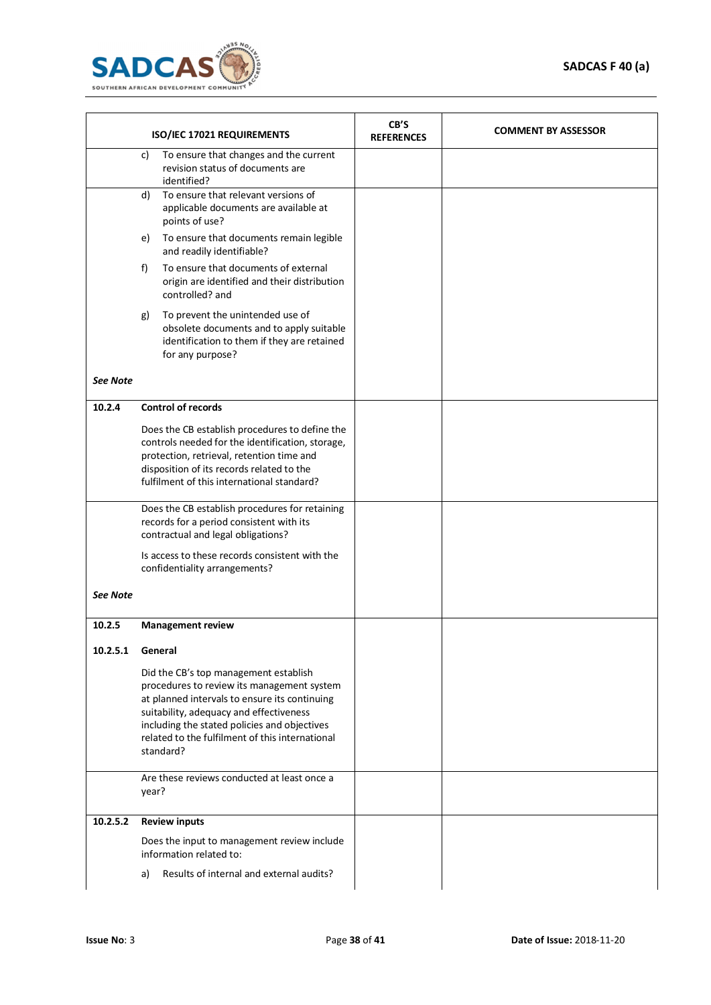

|                  | ISO/IEC 17021 REQUIREMENTS                                                                                                                                                                                                                                                                      | CB'S<br><b>REFERENCES</b> | <b>COMMENT BY ASSESSOR</b> |
|------------------|-------------------------------------------------------------------------------------------------------------------------------------------------------------------------------------------------------------------------------------------------------------------------------------------------|---------------------------|----------------------------|
|                  | To ensure that changes and the current<br>C)<br>revision status of documents are<br>identified?                                                                                                                                                                                                 |                           |                            |
|                  | To ensure that relevant versions of<br>d)<br>applicable documents are available at<br>points of use?                                                                                                                                                                                            |                           |                            |
|                  | To ensure that documents remain legible<br>e)<br>and readily identifiable?                                                                                                                                                                                                                      |                           |                            |
|                  | To ensure that documents of external<br>f)<br>origin are identified and their distribution<br>controlled? and                                                                                                                                                                                   |                           |                            |
|                  | To prevent the unintended use of<br>g)<br>obsolete documents and to apply suitable<br>identification to them if they are retained<br>for any purpose?                                                                                                                                           |                           |                            |
| <b>See Note</b>  |                                                                                                                                                                                                                                                                                                 |                           |                            |
| 10.2.4           | <b>Control of records</b>                                                                                                                                                                                                                                                                       |                           |                            |
|                  | Does the CB establish procedures to define the<br>controls needed for the identification, storage,<br>protection, retrieval, retention time and<br>disposition of its records related to the<br>fulfilment of this international standard?                                                      |                           |                            |
|                  | Does the CB establish procedures for retaining<br>records for a period consistent with its<br>contractual and legal obligations?                                                                                                                                                                |                           |                            |
|                  | Is access to these records consistent with the<br>confidentiality arrangements?                                                                                                                                                                                                                 |                           |                            |
| <b>See Note</b>  |                                                                                                                                                                                                                                                                                                 |                           |                            |
| 10.2.5           | <b>Management review</b>                                                                                                                                                                                                                                                                        |                           |                            |
| 10.2.5.1 General |                                                                                                                                                                                                                                                                                                 |                           |                            |
|                  | Did the CB's top management establish<br>procedures to review its management system<br>at planned intervals to ensure its continuing<br>suitability, adequacy and effectiveness<br>including the stated policies and objectives<br>related to the fulfilment of this international<br>standard? |                           |                            |
|                  | Are these reviews conducted at least once a<br>year?                                                                                                                                                                                                                                            |                           |                            |
| 10.2.5.2         | <b>Review inputs</b>                                                                                                                                                                                                                                                                            |                           |                            |
|                  | Does the input to management review include<br>information related to:                                                                                                                                                                                                                          |                           |                            |
|                  | Results of internal and external audits?<br>a)                                                                                                                                                                                                                                                  |                           |                            |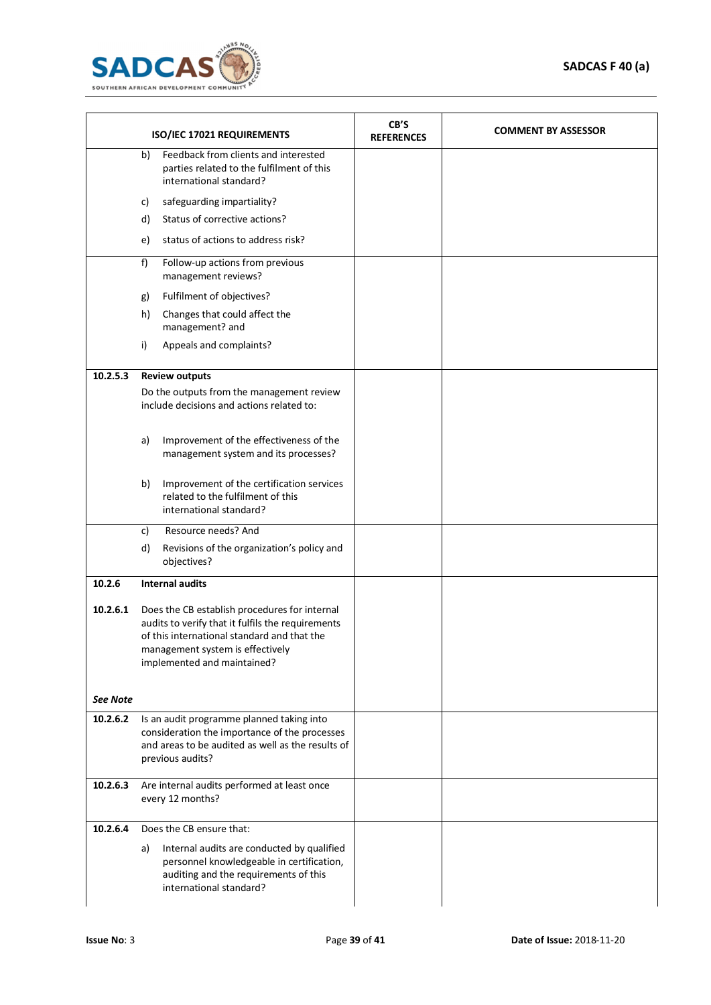

| ISO/IEC 17021 REQUIREMENTS |                                                                                                                                                                                                                      | CB'S<br><b>REFERENCES</b> | <b>COMMENT BY ASSESSOR</b> |
|----------------------------|----------------------------------------------------------------------------------------------------------------------------------------------------------------------------------------------------------------------|---------------------------|----------------------------|
|                            | Feedback from clients and interested<br>b)<br>parties related to the fulfilment of this<br>international standard?                                                                                                   |                           |                            |
|                            | safeguarding impartiality?<br>c)                                                                                                                                                                                     |                           |                            |
|                            | Status of corrective actions?<br>d)                                                                                                                                                                                  |                           |                            |
|                            | status of actions to address risk?<br>e)                                                                                                                                                                             |                           |                            |
|                            | f)<br>Follow-up actions from previous<br>management reviews?                                                                                                                                                         |                           |                            |
|                            | Fulfilment of objectives?<br>g)                                                                                                                                                                                      |                           |                            |
|                            | Changes that could affect the<br>h)<br>management? and                                                                                                                                                               |                           |                            |
|                            | i)<br>Appeals and complaints?                                                                                                                                                                                        |                           |                            |
| 10.2.5.3                   | <b>Review outputs</b>                                                                                                                                                                                                |                           |                            |
|                            | Do the outputs from the management review<br>include decisions and actions related to:                                                                                                                               |                           |                            |
|                            | Improvement of the effectiveness of the<br>a)<br>management system and its processes?                                                                                                                                |                           |                            |
|                            | Improvement of the certification services<br>b)<br>related to the fulfilment of this<br>international standard?                                                                                                      |                           |                            |
|                            | Resource needs? And<br>c)                                                                                                                                                                                            |                           |                            |
|                            | d)<br>Revisions of the organization's policy and<br>objectives?                                                                                                                                                      |                           |                            |
| 10.2.6                     | <b>Internal audits</b>                                                                                                                                                                                               |                           |                            |
| 10.2.6.1                   | Does the CB establish procedures for internal<br>audits to verify that it fulfils the requirements<br>of this international standard and that the<br>management system is effectively<br>implemented and maintained? |                           |                            |
| <b>See Note</b>            |                                                                                                                                                                                                                      |                           |                            |
| 10.2.6.2                   | Is an audit programme planned taking into<br>consideration the importance of the processes<br>and areas to be audited as well as the results of<br>previous audits?                                                  |                           |                            |
| 10.2.6.3                   | Are internal audits performed at least once<br>every 12 months?                                                                                                                                                      |                           |                            |
| 10.2.6.4                   | Does the CB ensure that:                                                                                                                                                                                             |                           |                            |
|                            | Internal audits are conducted by qualified<br>a)<br>personnel knowledgeable in certification,<br>auditing and the requirements of this<br>international standard?                                                    |                           |                            |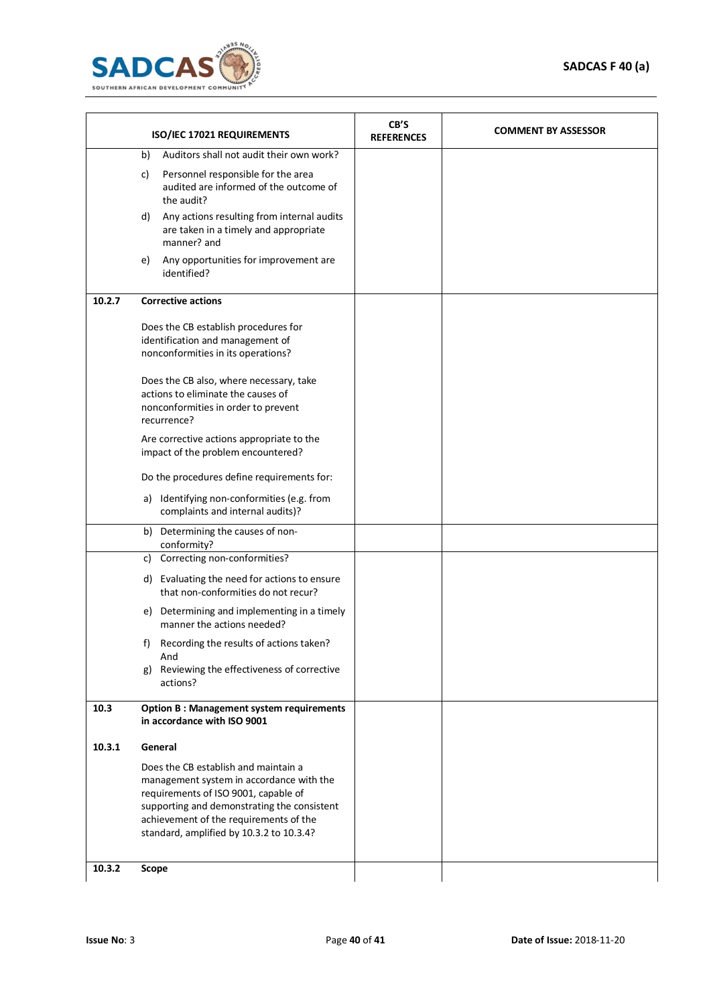

| ISO/IEC 17021 REQUIREMENTS |                                                                                                                                                                                                                                                               | CB'S<br><b>REFERENCES</b> | <b>COMMENT BY ASSESSOR</b> |
|----------------------------|---------------------------------------------------------------------------------------------------------------------------------------------------------------------------------------------------------------------------------------------------------------|---------------------------|----------------------------|
|                            | Auditors shall not audit their own work?<br>b)                                                                                                                                                                                                                |                           |                            |
|                            | Personnel responsible for the area<br>c)<br>audited are informed of the outcome of<br>the audit?                                                                                                                                                              |                           |                            |
|                            | Any actions resulting from internal audits<br>d)<br>are taken in a timely and appropriate<br>manner? and                                                                                                                                                      |                           |                            |
|                            | Any opportunities for improvement are<br>e)<br>identified?                                                                                                                                                                                                    |                           |                            |
| 10.2.7                     | <b>Corrective actions</b>                                                                                                                                                                                                                                     |                           |                            |
|                            | Does the CB establish procedures for<br>identification and management of<br>nonconformities in its operations?                                                                                                                                                |                           |                            |
|                            | Does the CB also, where necessary, take<br>actions to eliminate the causes of<br>nonconformities in order to prevent<br>recurrence?                                                                                                                           |                           |                            |
|                            | Are corrective actions appropriate to the<br>impact of the problem encountered?                                                                                                                                                                               |                           |                            |
|                            | Do the procedures define requirements for:                                                                                                                                                                                                                    |                           |                            |
|                            | a) Identifying non-conformities (e.g. from<br>complaints and internal audits)?                                                                                                                                                                                |                           |                            |
|                            | b) Determining the causes of non-<br>conformity?                                                                                                                                                                                                              |                           |                            |
|                            | c) Correcting non-conformities?                                                                                                                                                                                                                               |                           |                            |
|                            | d) Evaluating the need for actions to ensure<br>that non-conformities do not recur?                                                                                                                                                                           |                           |                            |
|                            | Determining and implementing in a timely<br>e)<br>manner the actions needed?                                                                                                                                                                                  |                           |                            |
|                            | Recording the results of actions taken?<br>f)<br>And                                                                                                                                                                                                          |                           |                            |
|                            | Reviewing the effectiveness of corrective<br>g)<br>actions?                                                                                                                                                                                                   |                           |                            |
| 10.3                       | <b>Option B: Management system requirements</b><br>in accordance with ISO 9001                                                                                                                                                                                |                           |                            |
| 10.3.1                     | General                                                                                                                                                                                                                                                       |                           |                            |
|                            | Does the CB establish and maintain a<br>management system in accordance with the<br>requirements of ISO 9001, capable of<br>supporting and demonstrating the consistent<br>achievement of the requirements of the<br>standard, amplified by 10.3.2 to 10.3.4? |                           |                            |
| 10.3.2                     | Scope                                                                                                                                                                                                                                                         |                           |                            |